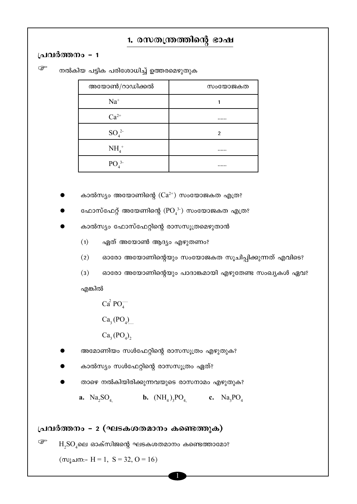# 1. രസതന്ത്രത്തിന്റെ ഭാഷ

### പ്രവർത്തനം - 1

ক্লে നൽകിയ പട്ടിക പരിശോധിച്ച് ഉത്തരമെഴുതുക

| അയോൺ/റാഡിക്കൽ                | സംയോജകത |
|------------------------------|---------|
| $Na+$                        |         |
| $Ca^{2+}$                    |         |
| $SO_4^2$                     | 2       |
| $NH4+$                       |         |
| PO <sub>4</sub> <sup>3</sup> |         |

കാൽസ്യം അയോണിന്റെ  $(Ca^{2+})$  സംയോജകത എത്ര?

ഫോസ്ഫേറ്റ് അയേണിന്റെ ( $\text{PO}_4^{3-}$ ) സംയോജകത എത്ര?

കാൽസ്യം ഫോസ്ഫേറ്റിന്റെ രാസസൂത്രമെഴുതാൻ

ഏത് അയോൺ ആദ്യം എഴുതണം?  $(1)$ 

ഓരോ അയോണിന്റെയും സംയോജകത സൂചിപ്പിക്കുന്നത് എവിടെ?  $(2)$ 

 $(3)$ ഓരോ അയോണിന്റെയും പാദാങ്കമായി എഴുതേണ്ട സംഖ്യകൾ ഏവ?

എങ്കിൽ

 $Ca^2 PO$  $Ca<sub>3</sub>(PO<sub>4</sub>)$ 

 $Ca<sub>3</sub>(PO<sub>4</sub>)$ 

- അമോണിയം സൾഫേറ്റിന്റെ രാസസൂത്രം എഴുതുക?
- കാൽസ്യം സൾഫേറ്റിന്റെ രാസസൂത്രം ഏത്?
- താഴെ നൽകിയിരിക്കുന്നവയുടെ രാസനാമം എഴുതുക?
	-

**a.**  $Na_2SO_4$ **b.**  $(NH_A)$ ,  $PO$ <sub>4</sub> **c.**  $Na$ ,  $PO$ <sub>4</sub>

പ്രവർത്തനം - 2 (ഘടകശതമാനം കണ്ടെത്തുക)

 $H<sub>2</sub>SO<sub>4</sub>$ ലെ ഓക്സിജന്റെ ഘടകശതമാനം കണ്ടെത്താമോ? ි

(സൂചന:- H = 1, S = 32, O = 16)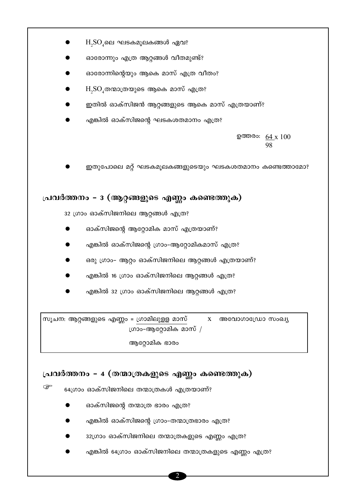- $H$ , $SO_4$ ലെ ഘടകമൂലകങ്ങൾ ഏവ?
- ഓരോന്നും എത്ര ആറ്റങ്ങൾ വീതമുണ്ട്?
- ഓരോന്നിന്റെയും ആകെ മാസ് എത്ര വീതം?
- $H_2SO_4$ തന്മാത്രയുടെ ആകെ മാസ് എത്ര?
- ഇതിൽ ഓക്സിജൻ ആറ്റങ്ങളുടെ ആകെ മാസ് എത്രയാണ്?
- എങ്കിൽ ഓക്സിജന്റെ ഘടകശതമാനം എത്ര?

ഉത്തരം: 64 x 100 98

ഇതുപോലെ മറ്റ് ഘടകമൂലകങ്ങളുടെയും ഘടകശതമാനം കണ്ടെത്താമോ?

# പ്രവർത്തനം - 3 (ആറ്റങ്ങളുടെ എണ്ണം കണ്ടെത്തുക)

32 ഗ്രാം ഓക്സിജനിലെ ആറ്റങ്ങൾ എത്ര?

- 
- ഓക്സിജന്റെ ആറ്റോമിക മാസ് എത്രയാണ്?
- എങ്കിൽ ഓക്സിജന്റെ ഗ്രാം–ആറ്റോമികമാസ് എത്ര?
- 
- 
- ഒരു ഗ്രാം- ആറ്റം ഓക്സിജനിലെ ആറ്റങ്ങൾ എത്രയാണ്?
- എങ്കിൽ 16 ഗ്രാം ഓക്സിജനിലെ ആറ്റങ്ങൾ എത്ര?
- 
- എങ്കിൽ 32 ഗ്രാം ഓക്സിജനിലെ ആറ്റങ്ങൾ എത്ര?

സൂചന: ആറ്റങ്ങളുടെ എണ്ണം = ഗ്രാമിലുളള മാസ്  $X$  അവോഗാഡ്രോ സംഖ്യ ഗ്രാം-ആറ്റോമിക മാസ് /

ആറ്റോമിക ഭാരം

### പ്രവർത്തനം - 4 (തന്മാത്രകളുടെ എണ്ണം കണ്ടെത്തുക)

 $\mathbb{Q}$ 64ഗ്രാം ഓക്സിജനിലെ തന്മാത്രകൾ എത്രയാണ്?

- ഓക്സിജന്റെ തന്മാത്ര ഭാരം എത്ര?
- 
- എങ്കിൽ ഓക്സിജന്റെ ഗ്രാം-തന്മാത്രഭാരം എത്ര?
- 32ഗ്രാം ഓക്സിജനിലെ തന്മാത്രകളുടെ എണ്ണം എത്ര?
- എങ്കിൽ 64ഗ്രാം ഓക്സിജനിലെ തന്മാത്രകളുടെ എണ്ണം എത്ര?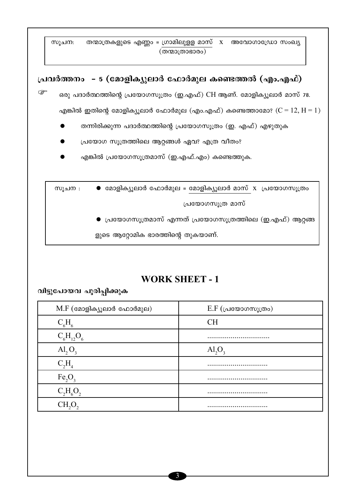സൂചന: തന്മാത്രകളുടെ എണ്ണം = ഗ്രാമിലുളള മാസ് x അവോഗാഡ്രോ സംഖ്യ  $(\overline{00000000000})$ **{പവർത്തനം - 5 (മോളിക്യുലാർ ഫോർമുല കണ്ടെത്തൽ (എം.എഫ്)**  $\mathbb{G}^{\mathbb{F}}$  ഒരു പദാർത്ഥത്തിന്റെ പ്രയോഗസൂത്രം (ഇ.എഫ്) CH ആണ്. മോളിക്യൂലാർ മാസ് 78. എങ്കിൽ ഇതിന്റെ മോളിക്യൂലാർ ഫോർമുല (എം.എഫ്) കണ്ടെത്താമോ? ( $C = 12, H = 1$ ) തന്നിരിക്കുന്ന പദാർത്ഥത്തിന്റെ പ്രയോഗസൂത്രം (ഇ. എഫ്) എഴുതുക പ്രയോഗ സൂത്രത്തിലെ ആറ്റങ്ങൾ ഏവ? എത്ര വീതം?

എങ്കിൽ പ്രയോഗസൂത്രമാസ് (ഇ.എഫ്.എം) കണ്ടെത്തുക.

 $m_\lambda$ ചന :  $\bullet$  മോളിക്യുലാർ ഫോർമുല = മോളിക്യുലാർ മാസ്  $X$  പ്രയോഗസൂത്രം പ്രയോഗസൂത്ര മാസ് (പയോഗസൂത്രമാസ് എന്നത് പ്രയോഗസൂത്രത്തിലെ (ഇ.എഫ്) ആറ്റങ്ങ

ളുടെ ആറ്റോമിക ഭാരത്തിന്റെ തുകയാണ്.

# **WORK SHEET - 1**

വിട്ടുപോയവ പൂരിപ്പിക്കുക

| $M.F$ (മോളിക്യൂലാർ ഫോർമുല)     | $E.F$ (പ്രയോഗസൂത്രം)    |
|--------------------------------|-------------------------|
| $C_6H_6$                       | <b>CH</b>               |
| $C_6H_{12}O_6$                 |                         |
| $\text{Al}_2\text{O}_3$        | $\text{Al}_2\text{O}_3$ |
| $C_2H_4$                       |                         |
| Fe <sub>2</sub> O <sub>3</sub> |                         |
| $C_2H_6O_2$                    |                         |
| CH,O,                          |                         |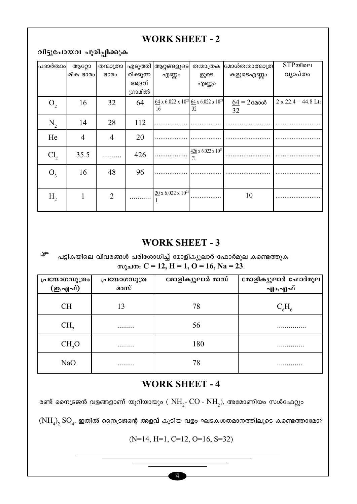# **WORK SHEET - 2**

# വിട്ടുപോയവ പൂരിപ്പിക്കുക

| പദാർത്ഥം        | ആറ്റോ          | തന്മാത്രാ      |           | എടുത്തി  ആറ്റങ്ങളുടെ                                                    | തന്മാത്രക                         | മോൾതന്മാത്മാത്ര | $STP$ യിലെ            |
|-----------------|----------------|----------------|-----------|-------------------------------------------------------------------------|-----------------------------------|-----------------|-----------------------|
|                 | മിക ഭാരം       | ഭാരം           | രിക്കുന്ന | എണ്ണം                                                                   | ളുടെ                              | കളുടെഎണ്ണം      | വ്യാപ്തം              |
|                 |                |                | അളവ്      |                                                                         | എണ്ണം                             |                 |                       |
|                 |                |                | ഗ്രാമിൽ   |                                                                         |                                   |                 |                       |
| $O_{2}$         | 16             | 32             | 64        | $\frac{64}{2}$ x 6.022 x 10 <sup>23</sup> 64 x 6.022 x 10 <sup>23</sup> |                                   | $64 = 2$ മോൾ    | $2 x 22.4 = 44.8$ Ltr |
|                 |                |                |           | 16                                                                      | 32                                | 32              |                       |
| $N_{2}$         | 14             | 28             | 112       |                                                                         |                                   |                 |                       |
|                 |                |                |           |                                                                         |                                   |                 |                       |
| He              | $\overline{4}$ | $\overline{4}$ | 20        |                                                                         |                                   |                 |                       |
| Cl <sub>2</sub> | 35.5           |                | 426       |                                                                         | $426 \times 6.022 \times 10^{23}$ |                 |                       |
|                 |                |                |           |                                                                         | 71                                |                 |                       |
| $O_3$           | 16             | 48             | 96        |                                                                         |                                   |                 |                       |
|                 |                |                |           |                                                                         |                                   |                 |                       |
|                 |                |                |           | $20 \times 6.022 \times 10^{23}$                                        |                                   |                 |                       |
| $H_{2}$         |                | $\overline{2}$ |           |                                                                         |                                   | 10              |                       |
|                 |                |                |           |                                                                         |                                   |                 |                       |

# **WORK SHEET - 3**

ි പട്ടികയിലെ വിവരങ്ങൾ പരിശോധിച്ച് മോളിക്യൂലാർ ഫോർമുല കണ്ടെത്തുക  $m_2$  and  $C = 12$ ,  $H = 1$ ,  $O = 16$ ,  $Na = 23$ .

| പ്രയോഗസൂത്രം     | പ്രയോഗസൂത്ര | മോളിക്യൂലാർ മാസ് | മോളിക്യൂലാർ ഫോർമുല |
|------------------|-------------|------------------|--------------------|
| ( <b>ഇ.എഫ്</b> ) | മാസ്        |                  | എാ.എഫ്             |
| <b>CH</b>        | 13          | 78               | $C_6H_6$           |
| CH <sub>2</sub>  | .           | 56               |                    |
| CH, O            | .           | 180              | .                  |
| NaO              | .           | 78               | . <b>.</b> .       |

# **WORK SHEET - 4**

രണ്ട് നൈട്രജൻ വളങ്ങളാണ് യൂറിയായും ( $NH_{2}$ - $CO$  -  $NH_{2}$ ), അമോണിയം സൾഫേറ്റും

 $(\mathrm{NH}_4)_2$   $\mathrm{SO}_4$ . ഇതിൽ നൈട്രജന്റെ അളവ് കൂടിയ വളം ഘടകശതമാനത്തിലൂടെ കണ്ടെത്താമോ?

 $(N=14, H=1, C=12, O=16, S=32)$ 

 $\overline{4}$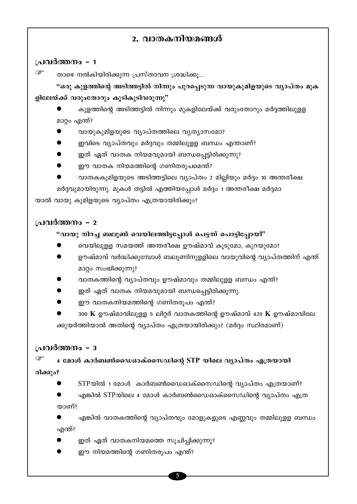# 2. വാതകനിയമങ്ങൾ

### പ്രവർത്തനം - 1

কে താഴെ നൽകിയിരിക്കുന്ന പ്രസ്താവന ശ്രദ്ധിക്കൂ...

"ഒരു കുളത്തിന്റെ അടിത്തട്ടിൽ നിന്നും പുറപ്പെടുന്ന വായുകുമിളയുടെ വൃാപ്തം മുക ളിലേയ്ക്ക് വരുംതോറും കുടികൂടിവരുന്നു"

കുളത്തിന്റെ അടിത്തട്ടിൽ നിന്നും മുകളിലേയ്ക്ക് വരുംതോറും മർദ്ദത്തിലുള്ള മാറ്റം എന്ത്?

- വായുകുമിളയുടെ വ്യാപ്തത്തിലെ വ്യത്യാസമോ?
- ഇവിടെ വ്യാപ്തവും മർദ്ദവും തമ്മിലുളള ബന്ധം എന്താണ്?
- ഇത് ഏത് വാതക നിയമവുമായി ബന്ധപ്പെട്ടിരിക്കുന്നു?
- ഈ വാതക നിയമത്തിന്റെ ഗണിതരൂപമെന്ത്?
- വാതകകുമിളയുടെ അടിത്തട്ടിലെ വ്യാപ്തം 2 മില്ലിയും മർദ്ദം 10 അന്തരീക്ഷ

മർദ്ദവുമായിരുന്നു. മുകൾ തട്ടിൽ എത്തിയപ്പോൾ മർദ്ദം 1 അന്തരീക്ഷ മർദ്ദമാ

യാൽ വായു കുമിളയുടെ വ്യാപ്തം എത്രയായിരിക്കും?

### ച്രവർത്തനം - 2

### "വായു നിറച്ച ബലൂൺ വെയിലത്തിട്ടപ്പോൾ പെട്ടന്ന് പൊട്ടിപ്പോയി"

- വെയിലുള്ള സമയത്ത് അന്തരീക്ഷ ഊഷ്മാവ് കുടുമോ, കുറയുമോ?
- ഊഷ്മാവ് വർദ്ധിക്കുമ്പോൾ ബലൂണിനുളളിലെ വായുവിന്റെ വ്യാപ്തത്തിന് എന്ത് മാറ്റം സംഭ്വിക്കുന്നു?
- വാതകത്തിന്റെ വ്യാപ്തവും ഊഷ്മാവും തമ്മിലുളള ബന്ധം എന്ത്?
- ഇത് ഏത് വാതക നിയമവുമായി ബന്ധപ്പെട്ടിരിക്കുന്നു.
- ഈ വാതകനിയമത്തിന്റെ ഗണിതരൂപം എന്ത്?
- 300  $\bf{K}$  ഊഷ്മാവിലുളള 5 ലിറ്റർ വാതകത്തിന്റെ ഊഷ്മാവ് 420  $\bf{K}$  ഊഷ്മാവിലേ ക്കുയർത്തിയാൽ അതിന്റെ വ്യാപ്തം എത്രയായിരിക്കും? (മർദ്ദം സ്ഥിരമാണ്)

### പ്രവർത്തനം - 3

4 മോൾ കാർബൺഡൈഓക്സൈഡിന്റെ STP യിലെ വ്യാപ്തം എത്രയായി

രിക്കും?

ক্রে

- $STP$ യിൽ 1 മോൾ കാർബൺഡൈഓക്സൈഡിന്റെ വ്യാപ്തം എത്രയാണ്?
- എങ്കിൽ STPയിലെ 4 മോൾ കാർബൺഡൈഓക്സൈഡിന്റെ വ്യാപ്തം എത്ര താണ്?
- എങ്കിൽ വാതകത്തിന്റെ വ്യാപ്തവും മോളുകളുടെ എണ്ണവും തമ്മിലുളള ബന്ധം എന്ത്?
- ഇത് ഏത് വാതകനിയമത്തെ സൂചിപ്പിക്കുന്നു?
- ഈ നിയമത്തിന്റെ ഗണിതരൂപം എന്ത്?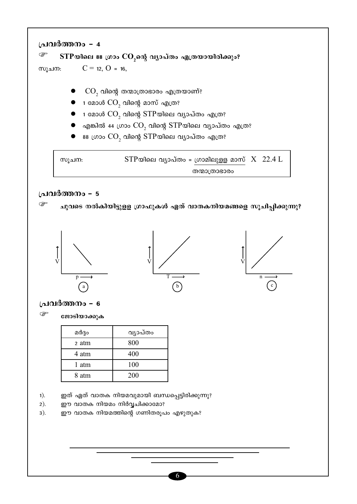







ജോടിയാക്കുക

| മർദ്ദം | വ്യാപ്തം |
|--------|----------|
| 2 atm  | 800      |
| 4 atm  | 400      |
| 1 atm  | 100      |
| 8 atm  | 200      |

- ഇത് ഏത് വാതക നിയമവുമായി ബന്ധപ്പെട്ടിരിക്കുന്നു?  $1).$
- $2).$ ഈ വാതക നിയമം നിർവ്വചിക്കാമോ?
- ഈ വാതക നിയമത്തിന്റെ ഗണിതരൂപം എഴുതുക?  $3).$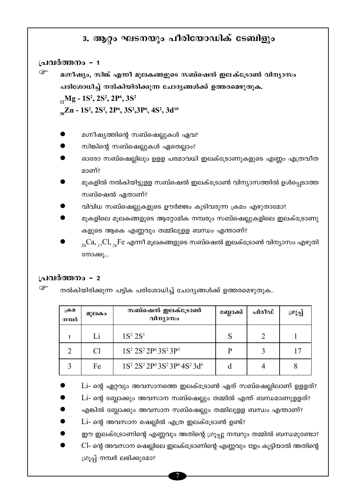# 3. ആറ്റം ഘടനയും പീരിയോഡിക് ടേബിളും

### പ്രവർത്തനം - 1

മഗ്നീഷ്യം, സിങ്ക് എന്നീ മൂലകങ്ങളുടെ സബ്ഷെൽ ഇലക്ട്രോൺ വിന്യാസം പരിശോധിച്ച് നൽകിയിരിക്കുന്ന ചോദ്യങ്ങൾക്ക് ഉത്തരമെഴുതുക.

 $_1$ , Mg - 1S<sup>2</sup>, 2S<sup>2</sup>, 2P<sup>6</sup>, 3S<sup>2</sup>

 $_{30}Zn - 1S^2$ , 2S<sup>2</sup>, 2P<sup>6</sup>, 3S<sup>2</sup>, 3P<sup>6</sup>, 4S<sup>2</sup>, 3d<sup>10</sup>

- മഗ്നീഷ്യത്തിന്റെ സബ്ഷെല്ലുകൾ ഏവ?
- സിങ്കിന്റെ സബ്ഷെല്ലുകൾ ഏതെല്ലാം?
- ഓരോ സബ്ഷെല്ലിലും ഉളള പരമാവധി ഇലക്ട്രോണുകളുടെ എണ്ണം എത്രവീത മാണ്?
- മുകളിൽ നൽകിയിട്ടുളള സബ്ഷെൽ ഇലക്ട്രോൺ വിന്യാസത്തിൽ ഉൾപ്പെടാത്ത സബ്ഷെൽ ഏതാണ്?
- വിവിധ സബ്ഷെല്ലുകളുടെ ഊർജ്ജം കുടിവരുന്ന ക്രമം എഴുതാമോ?
- മുകളിലെ മൂലകങ്ങളുടെ ആറ്റോമിക നമ്പരും സബ്ഷെല്ലുകളിലെ ഇലക്ട്രോണു കളുടെ ആകെ എണ്ണവും തമ്മിലുളള ബന്ധം എന്താണ്?
- $_{20}$  $Ca, _{17}Cl, _{26}Fe$  എന്നീ മൂലകങ്ങളുടെ സബ്ഷെൽ ഇലക്ട്രോൺ വിന്യാസം എഴുതി നോക്കൂ...

### പ്രവർത്തനം - 2

ເອ നൽകിയിരിക്കുന്ന പട്ടിക പരിശോധിച്ച് ചോദ്യങ്ങൾക്ക് ഉത്തരമെഴുതുക..

| ക്രമ<br>നമ്പർ | മുലകം | സബ്ഷെൽ ഇലക്ട്രോൺ<br>വിന്യാസം                                                    | ബ്ലോക്ക് <sub>।</sub> | പിരീഡ് | ശൂപ്പ് |
|---------------|-------|---------------------------------------------------------------------------------|-----------------------|--------|--------|
|               | Li    | $1S^2 2S^1$                                                                     | S                     | ∍      |        |
| ◠             | Cl    | 1S <sup>2</sup> 2S <sup>2</sup> 2P <sup>6</sup> 3S <sup>2</sup> 3P <sup>5</sup> | P                     |        |        |
|               | Fe    | $1S^2 2S^2 2P^6 3S^2 3P^6 4S^2 3d^6$                                            |                       |        |        |

Li- ന്റെ ഏറ്റവും അവസാനത്തെ ഇലക്ട്രോൺ ഏത് സബ്ഷെല്ലിലാണ് ഉളളത്?

- Li- ന്റെ ബ്ലോക്കും അവസാന സബ്ഷെല്ലും തമ്മിൽ എന്ത് ബന്ധമാണുളളത്?
- എങ്കിൽ ബ്ലോക്കും അവസാന സബ്ഷെല്ലും തമ്മിലുളള ബന്ധം എന്താണ്?
- $Li$  ന്റെ അവസാന ഷെല്ലിൽ എത്ര ഇലക്ട്രോൺ ഉണ്ട്?

ഈ ഇലക്ട്രോണിന്റെ എണ്ണവും അതിന്റെ ഗ്രൂപ്പു നമ്പറും തമ്മിൽ ബന്ധമുണ്ടോ?

Cl- ന്റെ അവസാന ഷെല്ലിലെ ഇലക്ട്രോണിന്റെ എണ്ണവും 12ഉം കൂട്ടിയാൽ അതിന്റെ ഗ്രൂപ്പ് നമ്പർ ലഭിക്കുമോ?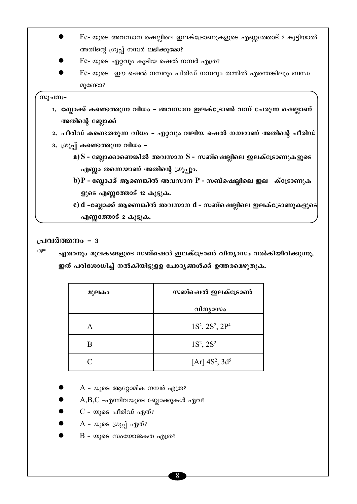- $Fe$  യുടെ അവസാന ഷെല്ലിലെ ഇലക്ട്രോണുകളുടെ എണ്ണത്തോട് 2 കൂട്ടിയാൽ അതിന്റെ ഗ്രൂപ്പ് നമ്പർ ലഭിക്കുമോ?
- Fe- യുടെ ഏറ്റവും കൂടിയ ഷെൽ നമ്പർ എത്ര?
- Fe- യുടെ ഈ ഷെൽ നമ്പറും പീരിഡ് നമ്പറും തമ്മിൽ എന്തെങ്കിലും ബന്ധ മുണ്ടോ?

### സുചന:-

- 1. ബ്ലോക്ക് കണ്ടെത്തുന്ന വിധം അവസാന ഇലക്ട്രോൺ വന്ന് ചേരുന്ന ഷെല്ലാണ് അതിന്റെ ബ്ലോക്ക്
- 2. പീരിഡ് കണ്ടെത്തുന്ന വിധം ഏറ്റവും വലിയ ഷെൽ നമ്പറാണ് അതിന്റെ പീരിഡ്
- 3. ഗ്രൂപ്പ് കണ്ടെത്തുന്ന വിധം
	- $\mathbf{a}(\mathbf{S}) = \mathbf{c}$ ബ്ലാക്കാണെങ്കിൽ അവസാന  $\mathbf{S}$  സബ്ഷെല്ലിലെ ഇലക്ട്രോണുകളുടെ എണ്ണം തന്നെയാണ് അതിന്റെ ഗ്രൂപ്പും.
	- b) $P$  ബ്ലോക്ക് ആണെങ്കിൽ അവസാന  $P$  സബ്ഷെല്ലിലെ ഇല ക്ട്രോണുക ളുടെ എണ്ണത്തോട് 12 കൂട്ടുക.
	- c) d -ബ്ലോക്ക് ആണെങ്കിൽ അവസാന d സബ്ഷെല്ലിലെ ഇലക്ട്രോണുകളുടെ എണ്ണത്തോട് 2 കൂട്ടുക.

### പ്രവർത്തനം - 3

 $\mathbb{Q}$ ഏതാനും മൂലകങ്ങളുടെ സബ്ഷെൽ ഇലക്ട്രോൺ വിന്യാസം നൽകിയിരിക്കുന്നു. ഇത് പരിശോധിച്ച് നൽകിയിട്ടുളള ചോദൃങ്ങൾക്ക് ഉത്തരമെഴുതുക.

| മൂലകം | സബ്ഷെൽ ഇലക്ട്രോൺ         |
|-------|--------------------------|
|       | വിന്യാസം                 |
| A     | $1S^2$ , $2S^2$ , $2P^4$ |
| B     | $1S^2$ , $2S^2$          |
|       | [Ar] $4S^2$ , $3d^5$     |

- $A$  യുടെ ആറ്റോമിക നമ്പർ എത്ര?
- $A,B,C$  -എന്നിവയുടെ ബ്ലോക്കുകൾ ഏവ?
- $C$  യുടെ പീരിഡ് ഏത്?
- A യുടെ ഗ്രൂപ്പ് ഏത്?
- $B$  യുടെ സംയോജകത എത്ര?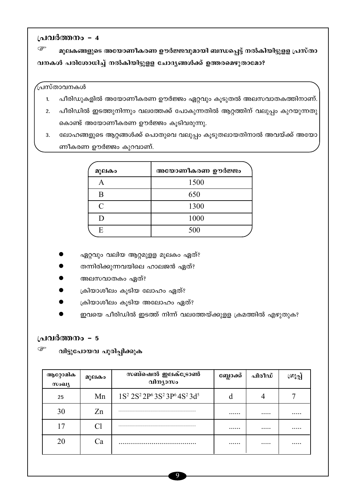☞ മൂലകങ്ങളുടെ അയോണീകരണ ഊർജ്ജവുമായി ബന്ധപ്പെട്ട് നൽകിയിട്ടുളള പ്രസ്താ വനകൾ പരിശോധിച്ച് നൽകിയിട്ടുളള ചോദൃങ്ങൾക്ക് ഉത്തരമെഴുതാമോ?

### (പസ്താവനകൾ

- പീരിഡുകളിൽ അയോണീകരണ ഊർജ്ജം ഏറ്റവും കൂടുതൽ അലസവാതകത്തിനാണ്.  $1.$
- പീരിഡിൽ ഇടത്തുനിന്നും വലത്തേക്ക് പോകുന്നതിൽ ആറ്റത്തിന് വലുപ്പം കുറയുന്നതു  $2.$ കൊണ്ട് അയോണീകരണ ഊർജ്ജം കൂടിവരുന്നു.
- 3. ലോഹങ്ങളുടെ ആറ്റങ്ങൾക്ക് പൊതുവെ വലുപ്പം കൂടുതലായതിനാൽ അവയ്ക്ക് അയോ ണീകരണ ഊർജ്ജം കുറവാണ്.

| മൂലകം         | അയോണീകരണ ഊർജ്ജം |
|---------------|-----------------|
|               | 1500            |
| B             | 650             |
| $\mathcal{C}$ | 1300            |
|               | 1000            |
| E             | 500             |

- ഏറ്റവും വലിയ ആറ്റമുളള മൂലകം ഏത്?
- തന്നിരിക്കുന്നവയിലെ ഹാലജൻ ഏത്?
- അലസവാതകം ഏത്?
- ക്രിയാശീലം കൂടിയ ലോഹം ഏത്?
- ക്രിയാശീലം കൂടിയ അലോഹം ഏത്?
- ഇവയെ പീരിഡിൽ ഇടത്ത് നിന്ന് വലത്തേയ്ക്കുള്ള ക്രമത്തിൽ എഴുതുക?

### പ്രവർത്തനം - 5

☞ വിട്ടുപോയവ പൂരിപ്പിക്കുക

| ആറ്റോമിക<br>സംഖ്യ | മൂലകം | സബ്ഷെൽ ഇലക്ട്രോൺ<br>വിന്യാസം                                                                                    | ബ്ലോക്ക് | പിരീഡ് | ເ໙∖≎ |
|-------------------|-------|-----------------------------------------------------------------------------------------------------------------|----------|--------|------|
| 25                | Mn    | 1S <sup>2</sup> 2S <sup>2</sup> 2P <sup>6</sup> 3S <sup>2</sup> 3P <sup>6</sup> 4S <sup>2</sup> 3d <sup>5</sup> | O        |        |      |
| 30                | Zn    |                                                                                                                 | .        |        |      |
| 17                |       |                                                                                                                 | .        | .      |      |
| 20                | Сa    |                                                                                                                 | .        |        | .    |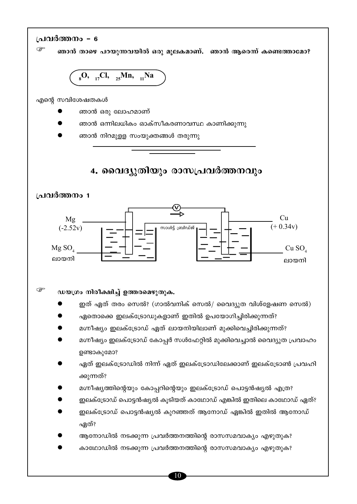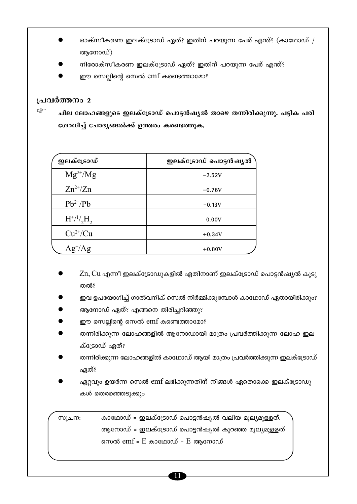- ഓക്സീകരണ ഇലക്ട്രോഡ് ഏത്? ഇതിന് പറയുന്ന പേര് എന്ത്? (കാഥോഡ് / ആനോഡ്)
- നിരോക്സീകരണ ഇലക്ട്രോഡ് ഏത്? ഇതിന് പറയുന്ന പേര് എന്ത്?
- ഈ സെല്ലിന്റെ സെൽ emf കണ്ടെത്താമോ?

ചില ലോഹങ്ങളുടെ ഇലക്ട്രോഡ് പൊട്ടൻഷൃൽ താഴെ തന്നിരിക്കുന്നു. പട്ടിക പരി ശോധിച്ച് ചോദൃങ്ങൽക്ക് ഉത്തരം കണ്ടെത്തുക.

| ഇലക്ട്രോഡ്          | ഇലക്ട്രോഡ് പൊട്ടൻഷൃൽ |
|---------------------|----------------------|
| $Mg^{2+}/Mg$        | $-2.52V$             |
| $Zn^{2+}/Zn$        | $-0.76V$             |
| $Pb^{2+}/Pb$        | $-0.13V$             |
| $H^{+/1/}_{2}H_{2}$ | 0.00V                |
| $Cu^{2+}/Cu$        | $+0.34V$             |
| $Ag^{\dagger}/Ag$   | $+0.80V$             |

- $Z$ n,  $Cu$  എന്നീ ഇലക്ട്രോഡുകളിൽ ഏതിനാണ് ഇലക്ട്രോഡ് പൊട്ടൻഷ്യൽ കുടു തൽ?
- ഇവ ഉപയോഗിച്ച് ഗാൽവനിക് സെൽ നിർമ്മിക്കുമ്പോൾ കാഥോഡ് ഏതായിരിക്കും?
- ആനോഡ് ഏത്? എങ്ങനെ തിരിച്ചറിഞ്ഞു?
- ഈ സെല്ലിന്റെ സെൽ emf കണ്ടെത്താമോ?
- തന്നിരിക്കുന്ന ലോഹങ്ങളിൽ ആനോഡായി മാത്രം പ്രവർത്തിക്കുന്ന ലോഹ ഇല ക്ട്രോഡ് ഏത്?
- തന്നിരിക്കുന്ന ലോഹങ്ങളിൽ കാഥോഡ് ആയി മാത്രം പ്രവർത്തിക്കുന്ന ഇലക്ട്രോഡ് ഏത്?
- ഏറ്റവും ഉയർന്ന സെൽ emf ലഭിക്കുന്നതിന് നിങ്ങൾ ഏതൊക്കെ ഇലക്ട്രോഡു കൾ തെരഞ്ഞെടുക്കും

കാഥോഡ് = ഇലക്ട്രോഡ് പൊട്ടൻഷ്യൽ വലിയ മുല്യമുള്ളത്. സുചന: ആനോഡ് = ഇലക്ട്രോഡ് പൊട്ടൻഷ്യൽ കുറഞ്ഞ മൂല്യമുള്ളത് സെൽ  $emf = E$  കാഥോഡ് –  $E$  ആനോഡ്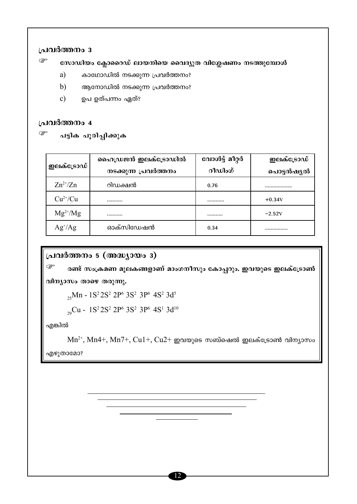☞ സോഡിയം ക്ലോറൈഡ് ലായനിയെ വൈദ്യുത വിശ്ലേഷണം നടത്തുമ്പോൾ

- a) കാഥോഡിൽ നടക്കുന്ന പ്രവർത്തനം?
- $b)$ ആനോഡിൽ നടക്കുന്ന പ്രവർത്തനം?
- $\mathbf{c})$ ഉപ ഉത്പന്നം ഏത്?

### പ്രവർത്തനം 4

 $\mathbb{Q}$ 

പട്ടിക പൂരിപ്പിക്കുക

|                   | ഹൈഡ്രജൻ ഇലക്ട്രോഡിൽ  | വോൾട്ട് മീറ്റർ | ഇലക്ട്രോഡ് |
|-------------------|----------------------|----------------|------------|
| ഇലക്ട്രോഡ്        | നടക്കുന്ന പ്രവർത്തനം | റീഡിംഗ്        | പൊട്ടൻഷ്യൽ |
| $Zn^{2+}/Zn$      | റിഡക്ഷൻ              | 0.76           |            |
| $Cu^{2+}/Cu$      |                      |                | $+0.34V$   |
| $Mg^{2+}/Mg$      |                      |                | $-2.52V$   |
| $Ag^{\dagger}/Ag$ | ഓക്സിഡേഷൻ            | 0.34           |            |

# പ്രവർത്തനം 5 (അദ്ധ്യായം 3)

ক্ত രണ്ട് സംക്രമണ മൂലകങ്ങളാണ് മാംഗനീസും കോപ്പറും. ഇവയുടെ ഇലക്ട്രോൺ

വിന്യാസം താഴെ തരുന്നു.

<sub>25</sub>Mn - 1S<sup>2</sup> 2S<sup>2</sup> 2P<sup>6</sup> 3S<sup>2</sup> 3P<sup>6</sup> 4S<sup>2</sup> 3d<sup>5</sup>

29Cu - 1S<sup>2</sup> 2S<sup>2</sup> 2P<sup>6</sup> 3S<sup>2</sup> 3P<sup>6</sup> 4S<sup>1</sup> 3d<sup>10</sup>

എങ്കിൽ

 $Mn^{2+}$ ,  $Mn4+$ ,  $Mn7+$ ,  $Cu1+$ ,  $Cu2+$  ഇവയുടെ സബ്ഷെൽ ഇലക്ട്രോൺ വിന്യാസം

എഴുതാമോ?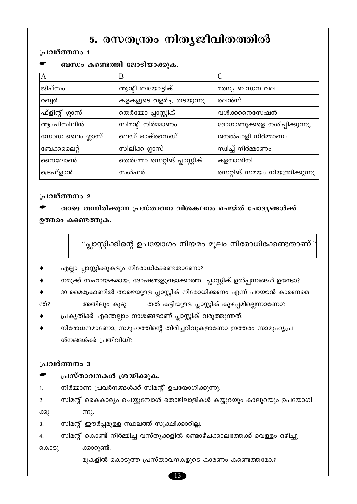# 5. രസതന്ത്രം നിതൃജീവിതത്തിൽ

### പ്രവർത്തനം 1

ബന്ധം കണ്ടെത്തി ജോടിയാക്കുക.

|                 | В                             |                                 |
|-----------------|-------------------------------|---------------------------------|
| ജിപ്സം          | ആന്റി ബയോട്ടിക്               | മത്സ്യ ബന്ധന വല                 |
| റബ്ബർ           | കളകളുടെ വളർച്ച തടയുന്നു       | ലെൻസ്                           |
| ഫ്ളിന്റ് ഗ്ലാസ് | തെർമ്മോ പ്ലാസ്റ്റിക്          | വൾക്കനൈസേഷൻ                     |
| ആംപിസിലിൻ       | സിമന്റ് നിർമ്മാണം             | രോഗാണുക്കളെ നശിപ്പിക്കുന്നു.    |
| സോഡ ലൈം ഗ്ലാസ്  | ലെഡ് ഓക്സൈഡ്                  | ജനൽപാളി നിർമ്മാണം               |
| ബേക്കലൈറ്റ്     | സിലിക്ക ഗ്ലാസ്                | സ്വിച്ച് നിർമ്മാണം              |
| നൈലോൺ           | തെർമ്മോ സെറ്റിങ് പ്ലാസ്റ്റിക് | കളനാശിനി                        |
| ട്രെഫ്ളാൻ       | സൾഫർ                          | സെറ്റിങ് സമയം നിയന്ത്രിക്കുന്നു |

### പ്രവർത്തനം 2

താഴെ തന്നിരിക്കുന്ന പ്രസ്താവന വിശകലനം ചെയ്ത് ചോദൃങ്ങൾക്ക് ഉത്തരം കണ്ടെത്തുക.

"പ്ലാസ്റ്റിക്കിന്റെ ഉപയോഗം നിയമം മൂലം നിരോധിക്കേണ്ടതാണ്."

- എല്ലാ പ്ലാസ്റ്റിക്കുകളും നിരോധിക്കേണ്ടതാണോ?
- നമുക്ക് സഹായകമായ, ദോഷങ്ങളുണ്ടാക്കാത്ത പ്ലാസ്റ്റിക് ഉൽപ്പന്നങ്ങൾ ഉണ്ടോ?
- 30 മൈക്രോണിൽ താഴെയുള്ള പ്ലാസ്റ്റിക് നിരോധിക്കണം എന്ന് പറയാൻ കാരണമെ

ന്ത്? തൽ കട്ടിയുള്ള പ്ലാസ്റ്റിക് കുഴപ്പമില്ലെന്നാണോ? അതിലും കൂടു

- പ്രകൃതിക്ക് എന്തെല്ലാം നാശങ്ങളാണ് പ്ലാസ്റ്റിക് വരുത്തുന്നത്.
- നിരോധനമാണോ, സമൂഹത്തിന്റെ തിരിച്ചറിവുകളാണോ ഇത്തരം സാമൂഹ്യപ്ര ശ്നങ്ങൾക്ക് പ്രതിവിധി?

### പ്രവർത്തനം 3

- പ്രസ്താവനകൾ ശ്രദ്ധിക്കുക.
- നിർമ്മാണ പ്രവർനങ്ങൾക്ക് സിമന്റ് ഉപയോഗിക്കുന്നു.  $\mathbf{1}$

സിമന്റ് കൈകാര്യം ചെയ്യുമ്പോൾ തൊഴിലാളികൾ കയ്യുറയും കാലുറയും ഉപയോഗി  $2.$ ക്കു  $(m)$ .

സിമന്റ് ഈർപ്പമുള്ള സ്ഥലത്ത് സൂക്ഷിക്കാറില്ല.  $3<sub>1</sub>$ 

സിമന്റ് കൊണ്ട് നിർമ്മിച്ച വസ്തുക്കളിൽ രണ്ടാഴ്ചക്കാലത്തേക്ക് വെള്ളം ഒഴിച്ചു 4. ക്കാറുണ്ട്. കൊടു

മുകളിൽ കൊടുത്ത പ്രസ്താവനകളുടെ കാരണം കണ്ടെത്തമോ.?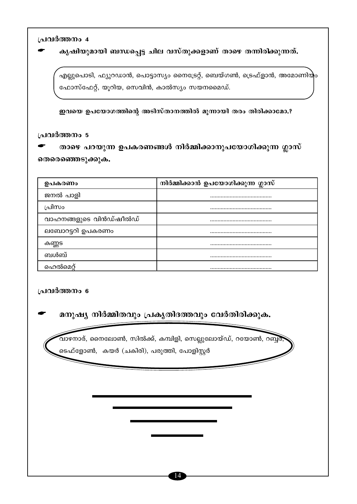കൃഷിയുമായി ബന്ധപ്പെട്ട ചില വസ്തുക്കളാണ് താഴെ തന്നിരിക്കുന്നത്.

എല്ലുപൊടി, ഫ്യുറഡാൻ, പൊട്ടാസ്യം നൈട്രേറ്റ്, ബെയ്ഗൺ, ട്രെഫ്ളാൻ, അമോണിയും ഫോസ്ഫേറ്റ്, യൂറിയ, സെവിൻ, കാൽസ്യം സയനമൈഡ്.

ഇവയെ ഉപയോഗത്തിന്റെ അടിസ്താനത്തിൽ മൂന്നായി തരം തിരിക്കാമോ.?

### പ്രവർത്തനം 5

താഴെ പറയുന്ന ഉപകരണങ്ങൾ നിർമ്മിക്കാനുപയോഗിക്കുന്ന ഗ്ലാസ് തെരെഞ്ഞെടുക്കുക.

| ഉപകരണം                 | നിർമ്മിക്കാൻ ഉപയോഗിക്കുന്ന ഗ്ലാസ് |
|------------------------|-----------------------------------|
| ജനൽ പാളി               |                                   |
| പ്രിസം                 |                                   |
| വാഹനങ്ങളുടെ വിൻഡ്ഷീൽഡ് |                                   |
| ലബോറട്ടറി ഉപകരണം       |                                   |
| കണ്ണട                  |                                   |
| ബൾബ്                   |                                   |
| ഹെൽമെറ്                |                                   |

### പ്രവർത്തനം 6

മനുഷ്യ നിർമ്മിതവും പ്രകൃതിദത്തവും വേർതിരിക്കുക.

വാഴനാര്, നൈലോൺ, സിൽക്ക്, കമ്പിളി, സെല്ലുലോയ്ഡ്, റയോൺ, റബ്ബര് ടെഫ്ളോൺ, കയർ (ചകിരി), പരുത്തി, പോളിസ്റ്റർ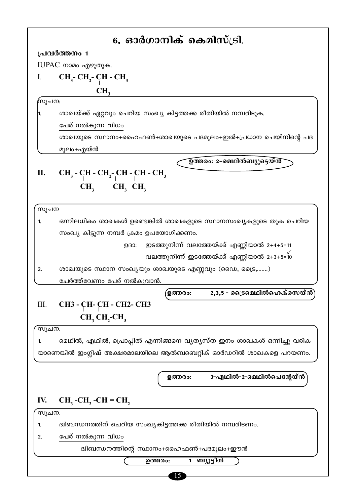|       | 6. ഓർഗാനിക് കെമിസ്ട്രി.                                              |
|-------|----------------------------------------------------------------------|
|       | പ്രവർത്തനം 1                                                         |
|       | IUPAC നാമം എഴുതുക.                                                   |
| I.    | $CH_3$ - $CH_2$ - $CH$ - $CH_3$                                      |
|       | CH <sub>3</sub>                                                      |
| സൂചന: |                                                                      |
| 1.    | ശാഖയ്ക്ക് ഏറ്റവും ചെറിയ സംഖ്യ കിട്ടത്തക്ക രീതിയിൽ നമ്പരിടുക.         |
|       | പേര് നൽകുന്ന വിധം                                                    |
|       | ശാഖയുടെ സ്ഥാനം+ഹൈഫൺ+ശാഖയുടെ പദമൂലം+ഇൽ+പ്രധാന ചെയിനിന്റെ പദ           |
|       | മൂലം+എയ്ൻ                                                            |
|       | ഉത്തരം: 2-മെഥിൽബ്യൂട്ടെയ്ൻ്                                          |
| П.    | $CH_3$ - $CH$ - $CH_2$ - $CH$ - $CH$ - $CH_3$                        |
|       | $CH_3$ $CH_3$ $CH_3$                                                 |
|       |                                                                      |
| സൂചന  |                                                                      |
| 1.    | ഒന്നിലധികം ശാഖകൾ ഉണ്ടെങ്കിൽ ശാഖകളുടെ സ്ഥാനസംഖ്യകളുടെ തുക ചെറിയ       |
|       | സംഖ്യ കിട്ടുന്ന നമ്പർ ക്രമം ഉപയോഗിക്കണം.                             |
|       | ഇടത്തുനിന്ന് വലത്തേയ്ക്ക് എണ്ണിയാൽ 2+4+5=11<br>ഉദാ:                  |
|       | വലത്തുനിന്ന് ഇടത്തേയ്ക്ക് എണ്ണിയാൽ 2+3+5=10                          |
| 2.    | ശാഖയുടെ സ്ഥാന സംഖ്യയും ശാഖയുടെ എണ്ണവും (ഡൈ, ട്രൈ,)                   |
|       | ചേർത്ത്വേണം പേര് നൽകുവാൻ.                                            |
|       | 2,3,5 - ട്രൈമെഥിൽഹെക്സെയ്ൻ<br><b>ഉത്തരം:</b>                         |
| Ш.    | СНЗ - СН- СН - СН2- СНЗ                                              |
|       | $CH, CH,CH_3$                                                        |
| സൂചന. |                                                                      |
| 1.    | മെഥിൽ, എഥിൽ, പ്രൊപ്പിൽ എന്നിങ്ങനെ വ്യത്യസ്ത ഇനം ശാഖകൾ ഒന്നിച്ചു വരിക |
|       | യാണെങ്കിൽ ഇംഗ്ലിഷ് അക്ഷരമാലയിലെ ആൽബബെറ്റിക് ഓർഡറിൽ ശാഖകളെ പറയണം.     |
|       |                                                                      |
|       | 3-എഥിൽ-2-മെഥിൽപെന്റേയ്ൻ`<br>ഉത്തരം:                                  |
|       |                                                                      |
|       |                                                                      |
| IV.   | $CH3$ -CH <sub>2</sub> -CH = CH <sub>2</sub>                         |
| സൂചന. |                                                                      |
| 1.    | ദ്വിബന്ധനത്തിന് ചെറിയ സംഖ്യകിട്ടത്തക്ക രീതിയിൽ നമ്പരിടണം.            |
| 2.    | പേര് നൽകുന്ന വിധം                                                    |
|       | ദ്വിബന്ധനത്തിന്റെ സ്ഥാനം+ഹൈഫൺ+പദമൂലം+ഈൻ                              |
|       | 1 ബ്യൂട്ടീൻ<br>ഉത്തരം:                                               |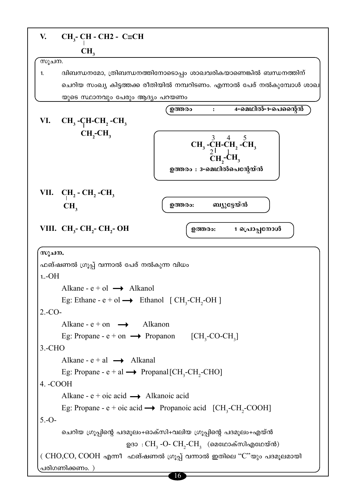| V.        | $CH3$ - CH - CH2 - C=CH                                                                                      |
|-----------|--------------------------------------------------------------------------------------------------------------|
|           | CH <sub>3</sub>                                                                                              |
| സൂചന.     |                                                                                                              |
| 1.        | ദ്വിബന്ധനമോ, ത്രിബന്ധനത്തിനോടൊപ്പം ശാഖവരികയാണെങ്കിൽ ബന്ധനത്തിന്                                              |
|           | ചെറിയ സംഖ്യ കിട്ടത്തക്ക രീതിയിൽ നമ്പറിടണം. എന്നാൽ പേര് നൽകുമ്പോൾ ശാഖ                                         |
|           | യുടെ സ്ഥാനവും പേരും ആദ്യം പറയണം<br>4-മെഥിൽ-1-പെന്റൈൻ<br>ഉത്തരം                                               |
| VI.       | $CH3$ -CH-CH <sub>2</sub> -CH <sub>3</sub>                                                                   |
|           | $CH, -CH,$                                                                                                   |
|           | $CH_3$ -CH-CH <sub>2</sub> -CH <sub>3</sub><br>CH <sub>2</sub> -CH <sub>3</sub><br>ഉത്തരം : 3-മെഥിൽപെന്റേയ്ൻ |
|           | VII. $CH_2$ - $CH_2$ - $CH_3$                                                                                |
|           | ബ്യുട്ടേയ്ൻ<br>ഉത്തരം:<br>CH <sub>3</sub>                                                                    |
|           | VIII. CH <sub>3</sub> - CH <sub>2</sub> - CH <sub>2</sub> - OH<br>1 പ്രൊപ്പനോൾ<br>ഉത്തരം:                    |
| സൂചന.     |                                                                                                              |
|           | ഫങ്ഷണൽ ഗ്രൂപ്പ് വന്നാൽ പേര് നൽകുന്ന വിധം                                                                     |
| $1.-OH$   |                                                                                                              |
|           | Alkane - $e + o1 \rightarrow$ Alkanol                                                                        |
|           | Eg: Ethane - e + ol $\rightarrow$ Ethanol [CH <sub>3</sub> -CH <sub>3</sub> -OH]                             |
| $2.-CO-$  |                                                                                                              |
|           | Alkane - $e + on \rightarrow$ Alkanon                                                                        |
|           | Eg: Propane - $e + on \rightarrow$ Propanon [CH <sub>3</sub> -CO-CH <sub>3</sub> ]                           |
| $3.-CHO$  | Alkane - $e + a1 \rightarrow$ Alkanal                                                                        |
|           | Eg: Propane - $e + al \rightarrow$ Propanal [CH <sub>3</sub> -CH <sub>2</sub> -CHO]                          |
| 4. - COOH |                                                                                                              |
|           | Alkane - $e + oic \text{ acid} \longrightarrow$ Alkanoic acid                                                |
|           | Eg: Propane - e + oic acid $\rightarrow$ Propanoic acid [CH <sub>3</sub> -CH <sub>2</sub> -COOH]             |
| $5.-O-$   |                                                                                                              |
|           | ചെറിയ ഗ്രൂപ്പിന്റെ പദമൂലം+ഓക്സി+വലിയ ഗ്രൂപ്പിന്റെ പദമൂലം+എയ്ൻ                                                |
|           | ഉദാ $\cdot$ CH <sub>3</sub> -O- CH <sub>2</sub> -CH <sub>3</sub> (മെഥോക്സിഎഥേയ്ൻ)                            |
|           | (CHO,CO, COOH എന്നീ ഫങ്ഷണൽ ഗ്രൂപ്പ് വന്നാൽ ഇതിലെ "C"യും പദമൂലമായി                                            |
|           | പരിഗണിക്കണം. )                                                                                               |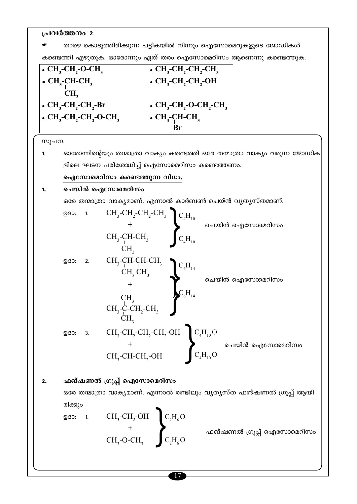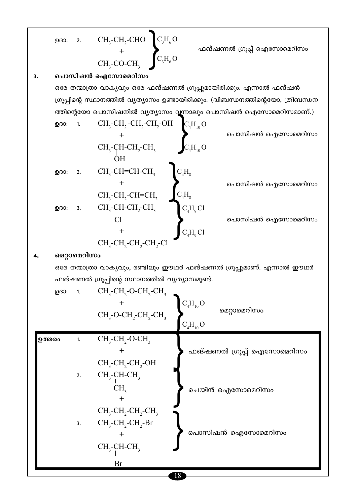$$
\begin{array}{lllllllllll} & \text{QG3:} & \text{CH}_3\text{-CH}_2\text{-CHO} & \text{C}_3\text{H}_6\text{O} & & \text{adjointedimod (0)} & \text{adjointedomoolon} \\ & & \text{G}_4\text{-CO-CH}_3 & \text{G}_3\text{H}_6\text{O} & & \text{adjointedomoolon} \\ & & \text{G}_5\text{-CO-CH}_3 & \text{G}_3\text{H}_6\text{O} & & \text{adjointedomoolon} \\ & \text{G}_6\text{O} & \text{O}_6\text{O}_6\text{O}_6\text{O}_6\text{O}_6\text{O}_6\text{O}_6\text{O}_6\text{O}_6\text{O}_6\text{O}_6\text{O}_6\text{O}_6\text{O}_6\text{O}_6\text{O}_6\text{O}_6\text{O}_6\text{O}_6\text{O}_6\text{O}_6\text{O}_6\text{O}_6\text{O}_6\text{O}_6\text{O}_6\text{O}_6\text{O}_6\text{O}_6\text{O}_6\text{O}_6\text{O}_6\text{O}_6\text{O}_6\text{O}_6\text{O}_6\text{O}_6\text{O}_6\text{O}_6\text{O}_6\text{O}_6\text{O}_6\text{O}_6\text{O}_6\text{O}_6\text{O}_6\text{O}_6\text{O}_6\text{O}_6\text{O}_6\text{O}_6\text{O}_6\text{O}_6\text{O}_6\text{O}_6\text{O}_6\text{O}_6\text{O}_6\text{O}_6\text{O}_6\text{O}_6\text{O}_6\text{O}_6\text{O}_6\text{O}_6\text{O}_6\text{O}_6\text{O}_6\text{O}_6\text{O}_6\text{O}_6\text{O}_6\text{O}_6\text{O}_6\text{O}_6\text{O}_6\text{O}_6\text{O}_6\text{O}_6\text{O}_6\text{O}_6\text{O}_6\text{O}_6\text{O}_6\text{O}_6\text{O}_6\text{O}_6\text{O}_6\text{O}_6\text{O}_6\text{O}_6\text{O}_6\text{O}_6\text{O}_6\text{O}_6\
$$

 $\blacktriangleright$ 

മെറ്റാമെറിസം  $\boldsymbol{4}$ .

> ഒരേ തന്മാത്രാ വാകൃവും, രണ്ടിലും ഈഥർ ഫങ്ഷണൽ ഗ്രൂപ്പുമാണ്. എന്നാൽ ഈഥർ ഫങ്ഷണൽ ഗ്രൂപ്പിന്റെ സ്ഥാനത്തിൽ വ്യത്യാസമുണ്ട്.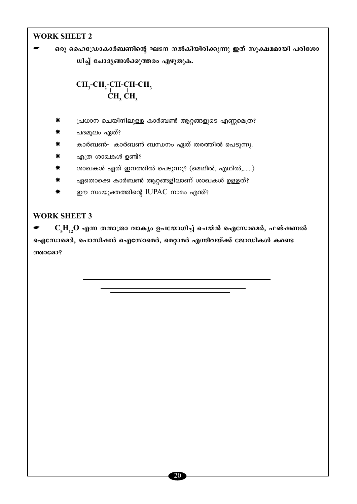# **WORK SHEET 2**

ഒരു ഹൈഡ്രോകാർബണിന്റെ ഘടന നൽകിയിരിക്കുന്നു ഇത് സുക്ഷമമായി പരിശോ ധിച്ച് ചോദ്യങ്ങൾക്കുത്തരം എഴുതുക.

# $\substack{\text{CH}_3$-CH}_2$-CH-CH-CH_3$\\CH_3$-CH_3$$

- പ്രധാന ചെയിനിലുള്ള കാർബൺ ആറ്റങ്ങളുടെ എണ്ണമെത്ര?
- പദമൂലം ഏത്?
- കാർബൺ- കാർബൺ ബന്ധനം ഏത് തരത്തിൽ പെടുന്നു.
- എത്ര ശാഖകൾ ഉണ്ട്?
- ശാഖകൾ ഏത് ഇനത്തിൽ പെടുന്നു? (മെഥിൽ, എഥിൽ,......)
- ഏതൊക്കെ കാർബൺ ആറ്റങ്ങളിലാണ് ശാഖകൾ ഉള്ളത്? ₩
- ഈ സംയുക്തത്തിന്റെ IUPAC നാമം എന്ത്?

### **WORK SHEET 3**

 $C_{\xi}H_{12}O$  എന്ന തന്മാത്രാ വാക്യം ഉപയോഗിച്ച് ചെയ്ൻ ഐസോമെർ, ഫങ്ഷണൽ ഐസോമെർ, പൊസിഷൻ ഐസോമെർ, മെറ്റാമർ എന്നിവയ്ക്ക് ജോഡികൾ കണ്ടെ ത്താമോ?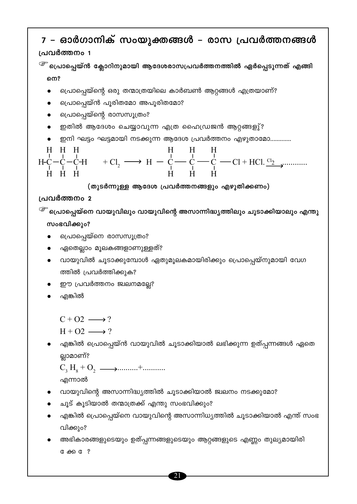**G** <del>do</del> G ?

- വിക്കും? അഭികാരങ്ങളുടെയും ഉത്പ്പന്നങ്ങളുടെയും ആറ്റങ്ങളുടെ എണ്ണം തുല്യമായിരി
- എങ്കിൽ പ്രൊപ്പെയ്നെ വായുവിന്റെ അസാന്നിധ്യത്തിൽ ചൂടാക്കിയാൽ എന്ത് സംഭ
- ചൂട് കൂടിയാൽ തന്മാത്രക്ക് എന്തു സംഭവിക്കും?
- വായുവിന്റെ അസാന്നിദ്ധ്യത്തിൽ ചൂടാക്കിയാൽ ജ്വലനം നടക്കുമോ?

എന്നാൽ

ല്ലാമാണ്?

എങ്കിൽ പ്രൊപ്പെയ്ൻ വായുവിൽ ചൂടാക്കിയാൽ ലഭിക്കുന്ന ഉത്പ്പന്നങ്ങൾ ഏതെ

 $H + O2 \longrightarrow ?$ 

- $C + O2 \longrightarrow ?$
- എങ്കിൽ
- ഈ പ്രവർത്തനം ജ്വലനമല്ലേ?
- ത്തിൽ പ്രവർത്തിക്കുക?
- വായുവിൽ ചൂടാക്കുമ്പോൾ ഏതുമൂലകമായിരിക്കും പ്രൊപ്പെയ്നുമായി വേഗ
- ഏതെല്ലാം മൂലകങ്ങളാണുള്ളത്?
- പ്രൊപ്പെയ്നെ രാസസൂത്രം?

സംഭവിക്കും?

<sup>്ത്ര</sup> പ്രൊപ്പെയ്നെ വായുവിലും വായുവിന്റെ അസാന്നിദ്ധ്യത്തിലും ചൂടാക്കിയാലും എന്തു

# പ്രവർത്തനം 2

നെ?

(തുടർന്നുള്ള ആദേശ പ്രവർത്തനങ്ങളും എഴുതിക്കണം)

$$
\begin{array}{cccc}\nH & H & H & H \\
H & \downarrow & \downarrow & \downarrow \\
H & H & H & H & \n\end{array} \rightarrow H \rightarrow \begin{array}{cccc}\nH & H & H & H \\
\downarrow & \downarrow & \downarrow & \downarrow \\
H & H & H & H & \n\end{array} \rightarrow H \rightarrow \begin{array}{cccc}\nC & \downarrow & \downarrow & \downarrow \\
\downarrow & \downarrow & \downarrow & \downarrow \\
H & H & H & \n\end{array} \rightarrow \begin{array}{cccc}\nC & \downarrow & \downarrow & \downarrow \\
\downarrow & \downarrow & \downarrow & \downarrow \\
\downarrow & \downarrow & \downarrow & \downarrow \\
H & H & H & \n\end{array}
$$

\n- @m1 ഘട്ടം ഘട്ടമായി നടക്കുന്ന ആദേശ പ്രവർത്തനം എഴുതാമോ........
\n- H H H H H H H-C-C-H + Cl<sub>2</sub> → H - C — C - C H + HCl. 
$$
\frac{Cl_2}{L_1}
$$
........
\n

പ്രൊപ്പെയ്ൻ പൂരിതമോ അപൂരിതമോ?

പ്രൊപ്പെയ്ന്റെ ഒരു തന്മാത്രയിലെ കാർബൺ ആറ്റങ്ങൾ എത്രയാണ്?

#### <u>മാർഗാനിക് സംസ്വക്തങ്ങൾ</u> <u>രാസ ച്രവർത്തനങ്ങൾ</u>  $\overline{7}$

<sup>്ളా</sup> പ്രൊപ്പെയ്ൻ ക്ലോറിനുമായി ആദേശരാസപ്രവർത്തനത്തിൽ ഏർപ്പെടുന്നത് എങ്ങി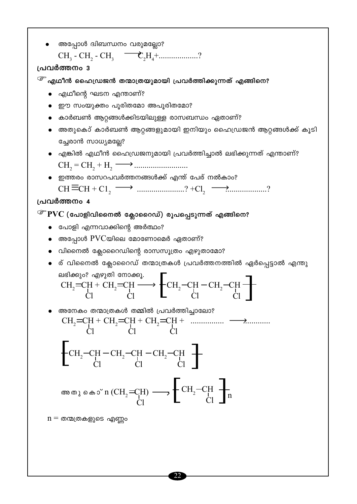$n = \omega$ ത്രകളുടെ എണ്ണാ

$$
CH_{2} = CH + CH_{2} = CH \longrightarrow \left\{ CH_{2} - CH - CH_{2} - CH \right\}
$$
\n
$$
CH_{2} = CH + CH_{2} = CH \longrightarrow \left\{ CH_{2} - CH - CH_{2} - CH \right\}
$$
\n
$$
CH_{2} = CH + CH_{2} = CH + CH_{2} = CH + \dots \longrightarrow \dots \longrightarrow \dots
$$
\n
$$
CH_{2} = CH + CH_{2} = CH + CH_{2} = CH + \dots \longrightarrow \dots \longrightarrow \dots
$$
\n
$$
CH_{2} - CH - CH_{2} - CH - CH_{2} - CH \longrightarrow \text{Cl}
$$
\n
$$
\left\{ CH_{2} - CH - CH_{2} - CH \right\} \longrightarrow \left\{ CH_{2} - CH \right\}
$$
\n
$$
CH_{2} = CH \longrightarrow \left\{ CH_{2} - CH \right\}
$$
\n
$$
CH_{2} = CH \longrightarrow \left\{ CH_{2} - CH \right\}
$$
\n
$$
CH_{2} = CH \longrightarrow \left\{ CH_{2} - CH \right\}
$$
\n
$$
CH_{2} = CH \longrightarrow \left\{ CH_{2} - CH \right\}
$$

- ര് വിനൈൽ ക്ലോറൈഡ് തന്മാത്രകൾ പ്രവർത്തനത്തിൽ ഏർപ്പെട്ടാൽ എന്തു
- വിനൈൽ ക്ലോറൈഡിന്റെ രാസസൂത്രം എഴുതാമോ?
- അപ്പോൾ  $\rm PVC$ യിലെ മോണോമെർ ഏതാണ്?
- പോളി എന്നവാക്കിന്റെ അർത്ഥം?

ലഭിക്കും? എഴുതി നോക്കൂ.

# $\widehat{\mathscr{C}}$  PVC (പോളിവിനൈൽ ക്ലോറൈഡ്) രൂപപ്പെടുന്നത് എങ്ങിനെ?

### പ്രവർത്തനം 4

 $CH \equiv CH + C1_2 \longrightarrow$  .....................? +Cl<sub>2</sub>  $\longrightarrow$  ..................?

• ഇത്തരം രാസറപവർത്തനങ്ങൾക്ക് എന്ത് പേര് നൽകാം?

$$
CH_2 = CH_2 + H_2 \longrightarrow
$$

- ച്ചേരാൻ സാധ്യമല്ലേ? • എങ്കിൽ എഥീൻ ഹൈഡ്രജനുമായി പ്രവർത്തിച്ചാൽ ലഭിക്കുന്നത് എന്താണ്?
- അതുകൊ് കാർബൺ ആറ്റങ്ങളുമായി ഇനിയും ഹൈഡ്രജൻ ആറ്റങ്ങൾക്ക് കൂടി
- കാർബൺ ആറ്റങ്ങൾക്കിടയിലുള്ള രാസബന്ധം ഏതാണ്?
- ഈ സംയുക്തം പൂരിതമോ അപൂരിതമോ?
- എഥീന്റെ ഘടന എന്താണ്?

# <sup>്ത്ര</sup> എഥീൻ ഹൈഡ്രജൻ തന്മാത്രയുമായി പ്രവർത്തിക്കുന്നത് എങ്ങിനെ?

# പ്രവർത്തനം 3

CH<sub>3</sub> - CH<sub>2</sub> - CH<sub>3</sub> 
$$
\longrightarrow
$$
  $\mathbb{C}_2$ H<sub>4</sub>+............?

അപ്പോൾ ദ്വിബന്ധനം വരുമല്ലോ?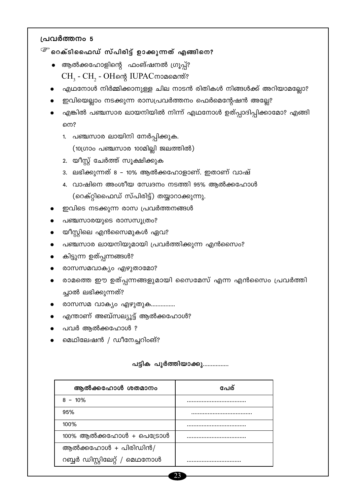- <sup>്ള്</sup> റെക്ടിഫൈഡ് സ്പിരിട്ട് ഉാക്കുന്നത് എങ്ങിനെ?
	- ആൽക്കഹോളിന്റെ ഫംങ്ഷനൽ ഗ്രൂപ്പ്? CH<sub>3</sub> - CH<sub>2</sub> - OHന്റെ IUPACനാമമെന്ത്?
	- എഥനോൾ നിർമ്മിക്കാനുള്ള ചില നാടൻ രിതികൾ നിങ്ങൾക്ക് അറിയാമല്ലോ?
	- ഇവിയെല്ലാം നടക്കുന്ന രാസപ്രവർത്തനം ഫെർമെന്റേഷൻ അല്ലേ?
	- എങ്കിൽ പഞ്ചസാര ലായനിയിൽ നിന്ന് എഥനോൾ ഉത്പ്പാദിപ്പിക്കാമോ? എങ്ങി നെ?
		- 1. പഞ്ചസാര ലായിനി നേർപ്പിക്കുക.

(10ഗ്രാം പഞ്ചസാര 100മില്ലി ജലത്തിൽ)

- 2. യീസ്റ്റ് ചേർത്ത് സൂക്ഷിക്കുക
- 3. ലഭിക്കുന്നത് 8 10% ആൽക്കഹോളാണ്. ഇതാണ് വാഷ്
- 4. വാഷിനെ അംശീയ സ്വേദനം നടത്തി 95% ആൽക്കഹോൾ (റെക്റ്റിഫൈഡ് സ്പിരിട്ട്) തയ്യാറാക്കുന്നു.
- ഇവിടെ നടക്കുന്ന രാസ പ്രവർത്തനങ്ങൾ
- പഞ്ചസാരയുടെ രാസസൂത്രം?
- യീസ്റ്റിലെ എൻസൈമുകൾ ഏവ?
- പഞ്ചസാര ലായനിയുമായി പ്രവർത്തിക്കുന്ന എൻസൈം?
- കിട്ടുന്ന ഉത്പ്പന്നങ്ങൾ?
- രാസസമവാക്യം എഴുതാമോ?
- രാമത്തെ ഈ ഉത്പ്പന്നങ്ങളുമായി സൈമേസ് എന്ന എൻസൈം പ്രവർത്തി ച്ചാൽ ലഭിക്കുന്നത്?
- രാസസമ വാക്യം എഴുതുക...............
- എന്താണ് അബ്സല്യൂട്ട് ആൽക്കഹോൾ?
- പവർ ആൽക്കഹോൾ ?
- മെഥിലേഷൻ / ഡീനേച്ചറിംങ്?

### പട്ടിക പൂർത്തിയാക്കു................

| ആൽക്കഹോൾ ശതമാനം               | പേര് |
|-------------------------------|------|
| $8 - 10\%$                    |      |
| 95%                           |      |
| 100%                          |      |
| $100\%$ ആൽക്കഹോൾ + പെട്രോൾ    |      |
| ആൽക്കഹോൾ + പിരിഡിൻ/           |      |
| റബ്ബർ ഡിസ്റ്റിലേറ്റ് / മെഥനോൾ |      |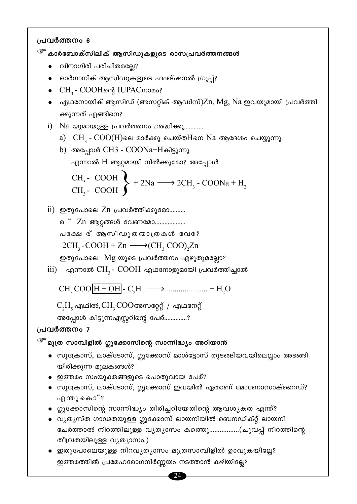$\widehat{\mathscr{E}}$  കാർബോക്സിലിക് ആസിഡുകളുടെ രാസപ്രവർത്തനങ്ങൾ

- വിനാഗിരി പരിചിതമല്ലേ?
- ഓർഗാനിക് ആസിഡുകളുടെ ഫംങ്ഷനൽ ഗ്രൂപ്പ്?
- CH<sub>3</sub> COOHന്റെ IUPACനാമം?
- എഥനോയിക് ആസിഡ് (അസറ്റിക് ആഡിസ്) $Z$ n,  $M$ g,  $Na$  ഇവയുമായി പ്രവർത്തി ക്കുന്നത് എങ്ങിനെ?
- i) Na യുമായുള്ള പ്രവർത്തനം ശ്രദ്ധിക്കൂ............
	- a)  $CH<sub>3</sub>$   $COO(H)$ ലെ മാർക്കു ചെയ്ത $H$ നെ  $Na$  ആദേശം ചെയ്യുന്നു.
	- b) അപ്പോൾ CH3  $COONa+H\omega$ ിട്ടുന്നു. എന്നാൽ  $\boldsymbol{\mathrm{H}}$  ആറ്റമായി നിൽക്കുമോ? അപ്പോൾ

CH<sub>3</sub>- COOH  
CH<sub>3</sub>- COOH 
$$
\rightarrow
$$
 + 2Na  $\longrightarrow$  2CH<sub>3</sub>-COONa + H<sub>2</sub>

ii) ഇതുപോലെ Zn പ്രവർത്തിക്കുമോ..........

ര**് Zn ആറ്റങ്ങൾ വേണമോ.................** പക്ഷേര് ആസിഡുതന്മാത്രകൾ വേ?  $2CH_2$ -COOH + Zn  $\longrightarrow$  (CH, COO), Zn

ഇതുപോലെ Mg യുടെ പ്രവർത്തനം എഴുതുമല്ലോ?

iii) എന്നാൽ  $CH<sub>3</sub>$ -  $COOH$  എഥനോളുമായി പ്രവർത്തിച്ചാൽ

 $C_2H_5$  എഥിൽ,  $CH_3COO$ അസറ്റേറ്റ് / എഥനേറ്റ്

അപ്പോൾ കിട്ടുന്നഎസ്റ്ററിന്റെ പേര്..............?

### പ്രവർത്തനം 7

 $\widehat{\mathscr{E}}$  മൂത്ര സാമ്പിളിൽ ഗ്ലൂക്കോസിന്റെ സാന്നിദ്ധ്യം അറിയാൻ

- സൂക്രോസ്, ലാക്ടോസ്, ഗ്ലൂക്കോസ് മാൾട്ടോസ് തുടങ്ങിയവയിലെല്ലാം അടങ്ങി യിരിക്കുന്ന മൂലകങ്ങൾ?
- ഇത്തരം സംയുക്തങ്ങളുടെ പൊതുവായ പേര്?
- സൂക്രോസ്, ലാക്ടോസ്, ഗ്ലൂക്കോസ് ഇവയിൽ ഏതാണ് മോണോസാക്റൈഡ്? എന്തു കൊ്?
- $\bullet$  ഗ്ലൂക്കോസിന്റെ സാന്നിദ്ധ്യം തിരിച്ചറിയേതിന്റെ ആവശ്യകത എന്ത്?
- വ്യത്യസ്ത ഗാഢതയുള്ള ഗ്ലൂക്കോസ് ലായനിയിൽ ബെനഡിക്റ്റ് ലായനി ചേർത്താൽ നിറത്തിലുള്ള വ്യത്യാസം കത്തെൂ……………..(ചുവപ്പ് നിറത്തിന്റെ തീവ്രതയിലുള്ള വ്യത്യാസം.)
- ഇതുപോലെയുള്ള നിറവ്യത്യാസം മൂത്രസാമ്പിളിൽ ഉാവുകയില്ലേ? ഇത്തരത്തിൽ പ്രമേഹരോഗനിർണ്ണയം നടത്താൻ കഴിയില്ലേ?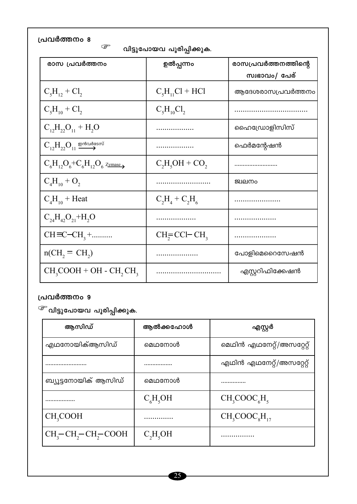| പ്രവർത്തനം 8<br>ఞ<br>വിട്ടുപോയവ പൂരിപ്പിക്കുക.                              |                     |                                       |
|-----------------------------------------------------------------------------|---------------------|---------------------------------------|
| രാസ പ്രവർത്തനം                                                              | ഉൽപ്പന്നം           | രാസപ്രവർത്തനത്തിന്റെ<br>സ്വഭാവം/ പേര് |
| $C_5H_{12}$ + $Cl_2$                                                        | $C_5H_{11}Cl + HCl$ | ആദേശരാസപ്രവർത്തനം                     |
| $C_5H_{10} + Cl_2$                                                          | $C_5H_{10}Cl_2$     |                                       |
| $C_{12}H_{22}O_{11} + H_2O$                                                 |                     | ഹൈഡ്രോളിസിസ്                          |
| $C_{12}H_{22}O_{11} \xrightarrow{\text{grad}\omega\text{d}\alpha\text{sm}}$ |                     | ഫെർമന്റേഷൻ                            |
| $C_6H_{12}O_6+C_6H_{12}O_6$ zymase <sub>&gt;</sub>                          | $C_2H_5OH + CO_2$   |                                       |
| $C_4H_{10} + O_2$                                                           |                     | ജ്വലനം                                |
| $C_4H_{10}$ + Heat                                                          | $C_2H_4 + C_2H_6$   |                                       |
| $C_{24}H_{42}O_{21}+H_2O$                                                   |                     |                                       |
| $CH = C - CH_3 + \dots$                                                     | $CH2=CCI-CH3$       |                                       |
| $n(CH, = CH_2)$                                                             |                     | പോളിമെറൈസേഷൻ                          |
| $CH_3COOH + OH - CH_2CH_3$                                                  |                     | എസ്റ്ററിഫിക്കേഷൻ                      |

 $\widehat{\mathscr{C}}$  വിട്ടുപോയവ പൂരിപ്പിക്കുക.

| ആസിഡ്                                          | ആൽക്കഹോൾ   | എസ്റ്റർ                   |
|------------------------------------------------|------------|---------------------------|
| എഥനോയിക്ആസിഡ്                                  | മെഥനോൾ     | മെഥിൻ എഥനേറ്റ്/അസറ്റേറ്റ് |
|                                                |            | എഥിൻ എഥനേറ്റ്/അസറ്റേറ്റ്  |
| ബ്യൂട്ടനോയിക് ആസിഡ്                            | മെഥനോൾ     |                           |
|                                                | $C_6H_5OH$ | $CH_3COOC_6H_5$           |
| CH <sub>3</sub> COOH                           |            | $CH_3COOC8H17$            |
| $CH_3$ -CH <sub>2</sub> -CH <sub>2</sub> -COOH | $C_2H_5OH$ |                           |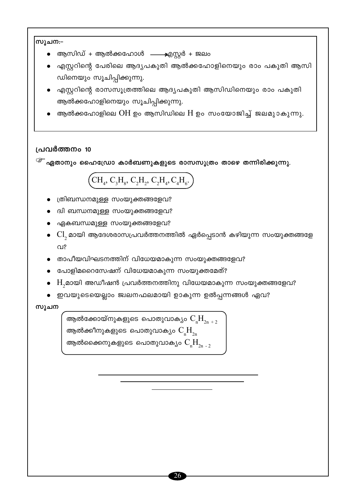### 'സൂചന:−

- ആസിഡ് + ആൽക്കഹോൾ —— എസ്റ്റർ + ജലം
- എസ്റ്ററിന്റെ പേരിലെ ആദ്യപകുതി ആൽക്കഹോളിനെയും രാം പകുതി ആസി ഡിനെയും സൂചിപ്പിക്കുന്നു.
- എസ്റ്ററിന്റെ രാസസൂത്രത്തിലെ ആദ്യപകുതി ആസിഡിനെയും രാം പകുതി ആൽക്കഹോളിനെയും സുചിപ്പിക്കുന്നു.
- ആൽക്കഹോളിലെ  $OH$  ഉം ആസിഡിലെ  $H$  ഉം സംയോജിച്ച് ജലമുാകുന്നു.

### പ്രവർത്തനം 10

 $\widehat{\mathscr{E}}$  ഏതാനും ഹൈഡ്രോ കാർബണുകളുടെ രാസസൂത്രം താഴെ തന്നിരിക്കുന്നു.

# $\left({\rm CH}_4, {\rm C}_3 {\rm H}_8, {\rm C}_2 {\rm H}_2, {\rm C}_2 {\rm H}_4, {\rm C}_4 {\rm H}_6\right)$

- ത്രിബന്ധനമുള്ള സംയുക്തങ്ങളേവ?
- ദ്വി ബന്ധനമുള്ള സംയുക്തങ്ങളേവ?
- ഏകബന്ധമുള്ള സംയുക്തങ്ങളേവ?
- $\bullet \;\; \mathrm{Cl},$  മായി ആദേശരാസപ്രവർത്തനത്തിൽ ഏർപ്പെടാൻ കഴിയുന്ന സംയുക്തങ്ങളേ  $QI$ ?
- താപീയവിഘടനത്തിന് വിധേയമാകുന്ന സംയുക്തങ്ങളേവ?
- പോളിമറൈസേഷന് വിധേയമാകുന്ന സംയുക്തമേത്?
- ി. H,മായി അഡീഷൻ പ്രവർത്തനത്തിനു വിധേയമാകുന്ന സംയുക്തങ്ങളേവ?
- ഇവയുടെയെല്ലാം ജ്വലനഫലമായി ഉാകുന്ന ഉൽപ്പന്നങ്ങൾ ഏവ?

### സൂചന

ആൽക്കോയ്നുകളുടെ പൊതുവാക്യം  $\mathrm{C_{_{n}}H_{_{2n-2}}}$ ആൽക്കീനുകളുടെ പൊതുവാക്യം  $\rm C_{_{n}}\rm H_{_{2n}}$ ആൽക്കൈനുകളുടെ പൊതുവാകൃം  $C_{\rm n}H_{\rm 2n-2}$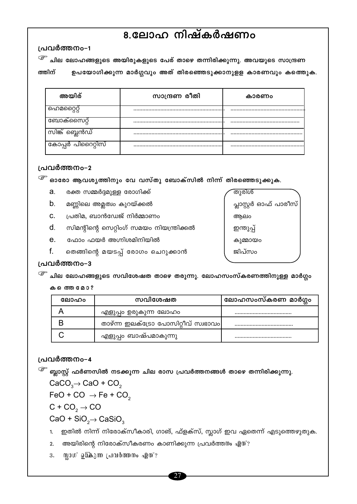# 8.ലോഹ നിഷ്കർഷണം

പ്രവർത്തനം-1

 $\widehat{\mathscr{E}}$  ചില ലോഹങ്ങളുടെ അയിരുകളുടെ പേര് താഴെ തന്നിരിക്കുന്നു. അവയുടെ സാന്ദ്രണ

ത്തിന് ഉപയോഗിക്കുന്ന മാർഗ്ഗവും അത് തിരഞ്ഞെടുക്കാനുളള കാരണവും കത്തെുക.

| അയിര്             | സാന്ദ്രണ രീതി | കാരണം |
|-------------------|---------------|-------|
| ഹെമറ്റൈറ്റ്       |               |       |
| ബോക്സൈറ്റ്        |               |       |
| സിങ്ക് ബ്ലെൻഡ്    | .             |       |
| കോപ്പർ പിറൈറ്റിസ് |               |       |

### പ്രവർത്തനം-2

 $\widehat{\mathscr{E}}$  ഓരോ ആവശ്യത്തിനും വേ വസ്തു ബോക്സിൽ നിന്ന് തിരഞ്ഞെടുക്കുക.

- a. രക്ത സമ്മർദ്ദമുള്ള രോഗിക്ക്
- $b_{-}$ മണ്ണിലെ അമ്ലത്വം കുറയ്ക്കൽ
- പ്രതിമ, ബാൻഡേജ് നിർമ്മാണം C.
- $d.$ സിമന്റിന്റെ സെറ്റിംഗ് സമയം നിയന്ത്രിക്കൽ
- $e<sub>1</sub>$ ഫോം ഫയർ അഗ്നിശമിനിയിൽ
- f. തെങ്ങിന്റെ മയടപ്പ് രോഗം ചെറുക്കാൻ

തുരിശ് പ്ലാസ്റ്റർ ഓഫ് പാരീസ് ആലം ഇന്തുപ്പ് കുമ്മായം ജിപ്സം

### പ്രവർത്തനം-3

 $\widehat{\mathscr{E}}$  ചില ലോഹങ്ങളുടെ സവിശേഷത താഴെ തരുന്നു. ലോഹസംസ്കരണത്തിനുള്ള മാർഗ്ഗം

### കത്തെ മോ?

| ലോഹം | സവിശേഷത                             | ലോഹസംസ്കരണ മാർഗ്ഗം |
|------|-------------------------------------|--------------------|
|      | എളുപ്പം ഉരുകുന്ന ലോഹം               |                    |
|      | താഴ്ന്ന ഇലക്ട്രോ പോസിറ്റീവ് സ്വഭാവം |                    |
|      | എളുപ്പം ബാഷ്പമാകുന്നു               |                    |

### പ്രവർത്തനം-4

 $\widehat{\mathscr{E}}$  ബ്ലാസ്റ്റ് ഫർണസിൽ നടക്കുന്ന ചില രാസ പ്രവർത്തനങ്ങൾ താഴെ തന്നിരിക്കുന്നു.  $CaCO<sub>3</sub> \rightarrow CaO + CO<sub>2</sub>$ 

 $FeO + CO \rightarrow Fe + CO<sub>2</sub>$ 

 $C + CO<sub>2</sub> \rightarrow CO$ 

 $CaO + SiO<sub>2</sub> \rightarrow CaSiO<sub>3</sub>$ 

ഇതിൽ നിന്ന് നിരോക്സീകാരി, ഗാങ്, ഫ്ളക്സ്, സ്ലാഗ് ഇവ ഏതെന്ന് എടുത്തെഴുതുക.  $1.$ 

2. അയിരിന്റെ നിരോക്സീകരണം കാണിക്കുന്ന പ്രവർത്തനം ഏത്?

3. യ്ലാഗ് ഉ∙കുന്ന പ്രവർത്തനം ഏത്?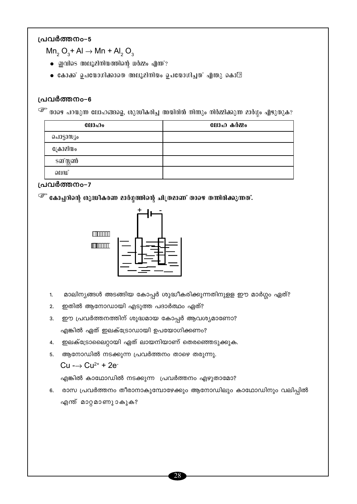$Mn_2$  O<sub>3</sub>+ Al  $\rightarrow$  Mn + Al<sub>2</sub> O<sub>3</sub>

- $\bullet$  **grades** meyalmlwomlong work apm??
- $\bullet$  കോക്ക് ഉപയോഗിക്കാതെ അലൂമിനിയം ഉപയോഗിച്ചത് എന്തു കൊ്-?

### പ്രവർത്തനം-6

<sup>737</sup> താഴെ പറയുന്ന ലോഹങ്ങളെ, ശുദ്ധീകരിച്ച അയിരിൽ നിന്നും നിർമ്മിക്കുന്ന മാർഗ്ഗം എഴുതുക?

| @00 <sub>0</sub> | ലോഹ കർമ്മം |
|------------------|------------|
| പൊട്ടാസ്യം       |            |
| ക്രോമിയം         |            |
| ടങ്സ്റ്റൺ        |            |
| ലെഡ്             |            |

### പ്രവർത്തനം-7

 $2.$ 

3.

4.

5.

 $Cu \rightarrow Cu^{2+} + 2e^{-}$ 

എന്ത് മാറ്റമാണുാകുക?

 $\widehat{\mathscr{E}}$  കോപ്പറിന്റെ ശുദ്ധീകരണ മാർഗ്ഗത്തിന്റെ ചിത്രമാണ് താഴെ തന്നിരിക്കുന്നത്.



ഇതിൽ ആനോഡായി എടുത്ത പദാർത്ഥം ഏത്?

എങ്കിൽ ഏത് ഇലക്ട്രോഡായി ഉപയോഗിക്കണം?

ആനോഡിൽ നടക്കുന്ന പ്രവർത്തനം താഴെ തരുന്നു.

ഈ പ്രവർത്തനത്തിന് ശുദ്ധമായ കോപ്പർ ആവശ്യമാണോ?

ഇലക്ട്രോലൈറ്റായി ഏത് ലായനിയാണ് തെരഞ്ഞെടുക്കുക.

എങ്കിൽ കാഥോഡിൽ നടക്കുന്ന പ്രവർത്തനം എഴുതാമോ?

മാലിന്യങ്ങൾ അടങ്ങിയ കോപ്പർ ശുദ്ധീകരിക്കുന്നതിനുളള ഈ മാർഗ്ഗം ഏത്?  $1<sub>1</sub>$ 





6. രാസ പ്രവർത്തനം തീരാനാകുമ്പോഴേക്കും ആനോഡിലും കാഥോഡിനും വലിപ്പിൽ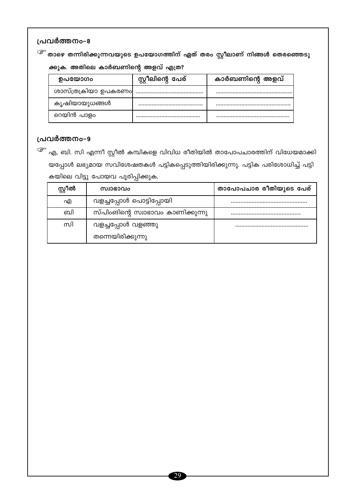<sup>്ത്ര</sup> താഴെ തന്നിരിക്കുന്നവയുടെ ഉപയോഗത്തിന് ഏത് തരം സ്റ്റീലാണ് നിങ്ങൾ തെരഞ്ഞെടു ക്കുക. അതിലെ കാർബണിന്റെ അളവ് എത്ര?

| ഉപയോഗം               | സ്റ്റീലിന്റെ പേര് | കാർബണിന്റെ അളവ് |
|----------------------|-------------------|-----------------|
| ശാസ്ത്രക്രിയാ ഉപകരണം |                   |                 |
| കൃഷിയായുധങ്ങൾ        |                   |                 |
| റെയിൻ പാളം           |                   |                 |

# പ്രവർത്തനം-9

<sup>്ട്ട്</sup> എ, ബി. സി എന്നീ സ്റ്റീൽ കമ്പികളെ വിവിധ രീതിയിൽ താപോപചാരത്തിന് വിധേയമാക്കി യപ്പോൾ ലഭ്യമായ സവിശേഷതകൾ പട്ടികപ്പെടുത്തിയിരിക്കുന്നു. പട്ടിക പരിശോധിച്ച് പട്ടി കയിലെ വിട്ടു പോയവ പൂരിപ്പിക്കുക.

| സ്റ്റീൽ | സ്വാഭാവം                          | താപോപചാര രീതിയുടെ പേര് |
|---------|-----------------------------------|------------------------|
| എ       | വളച്ചപ്പോൾ പൊട്ടിപ്പോയി           |                        |
| ബി      | സ്പിംങിന്റെ സ്വാഭാവം കാണിക്കുന്നു |                        |
| സി      | വളച്ചപ്പോൾ വളഞ്ഞു                 |                        |
|         | തന്നെയിരിക്കുന്നു                 |                        |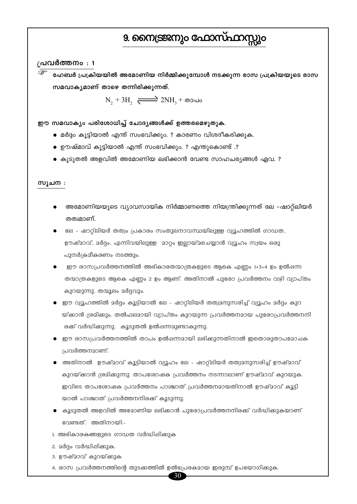# 9. നൈട്രജനും ഫോസ്ഫാറ്റ

### $\overline{a}$ പവർത്തനം : 1

ഹേബർ പ്രക്രിയയിൽ അമോണിയ നിർമ്മിക്കുമ്പോൾ നടക്കുന്ന രാസ പ്രക്രിയയുടെ രാസ സമവാകൃമാണ് താഴെ തന്നിരിക്കുന്നത്.

 $N_2 + 3H_2 \xrightarrow{\longrightarrow} 2NH_1 + \omega$ 

ഈ സമവാക്യം പരിശോധിച്ച് ചോദ്യങ്ങൾക്ക് ഉത്തരമെഴുതുക.

- മർദ്ദം കൂട്ടിയാൽ എന്ത് സംഭവിക്കും. ? കാരണം വിശദീകരിക്കുക.
- ഊഷ്മാവ് കൂട്ടിയാൽ എന്ത് സംഭവിക്കും. ? എന്തുകൊണ്ട് .?
- $\bullet$  കൂടുതൽ അളവിൽ അമോണിയ ലഭിക്കാൻ വേണ്ട സാഹചര്യങ്ങൾ ഏവ. ?

#### സുചന :

- അമോണിയയുടെ വ്യാവസായിക നിർമ്മാണത്തെ നിയന്ത്രിക്കുന്നത് ലേ –ഷാറ്റ്ലിയർ തത്വമാണ്.
- ലേ ഷാറ്റ്ലിയർ തത്വം പ്രകാരം സംതുലനാവസ്ഥയിലുള്ള വ്യൂഹത്തിൽ ഗാഡത, ഊഷ്മാവ്, മർദ്ദം, എന്നിവയിലുള്ള മാറ്റം ഇല്ലായ്മചെയ്യാൻ വ്യൂഹം സ്വയം ഒരു പുനർക്രമീകരണം നടത്തും.
- ഈ രാസപ്രവർത്തനത്തിൽ അഭികാരതന്മാത്രകളുടെ ആകെ എണ്ണം 1+3=4 ഉം ഉൽഷന്ന തന്മാത്രകളുടെ ആകെ എണ്ണം 2 ഉം ആണ്. അതിനാൽ പുരോ പ്രവർത്തനം വഴി വ്യാപ്തം കുറയുന്നു. തന്മൂലം മർദ്ദവും.
- ഈ വ്യൂഹത്തിൽ മർദ്ദം കൂട്ടിയാൽ ലേ ഷാറ്റ്ലിയർ തത്വമനുസരിച്ച് വ്യൂഹം മർദ്ദം കുറ യ്ക്കാൻ ശ്രമിക്കും. തൽഫലമായി വ്യാപ്തം കുറയുന്ന പ്രവർത്തനമായ പുരോപ്രവർത്തനനി രക്ക് വർദ്ധിക്കുന്നു. കൂടുതൽ ഉൽഷന്നമുണ്ടാകുന്നു.
- $\bullet$  ഈ രാസപ്രവർത്തനത്തിൽ താപം ഉൽഷന്നമായി ലഭിക്കുന്നതിനാൽ ഇതൊരുതാപമോചക പ്രവർത്തനമാണ്.
- അതിനാൽ ഊഷ്മാവ് കൂട്ടിയാൽ വ്യൂഹം ലേ ഷാറ്റ്ലിയർ തത്വമനുസരിച്ച് ഊഷ്മാവ് കുറയ്ക്കാൻ ശ്രമിക്കുന്നു. താപശോഷക പ്രവർത്തനം നടന്നാലാണ് ഊഷ്മാവ് കുറയുക. ഇവിടെ താപശോഷക പ്രവർത്തനം പാശ്ചാത് പ്രവർത്തനമായതിനാൽ ഊഷ്മാവ് കൂട്ടി യാൽ പാശ്ചാത് പ്രവർത്തനനിരക്ക് കൂടുന്നു.
- $\bullet$  കൂടുതൽ അളവിൽ അമോണിയ ലഭിക്കാൻ പുരോപ്രവർത്തനനിരക്ക് വർദ്ധിക്കുകയാണ് വേണ്ടത്. അതിനായി:-
- 1. അഭികാരകങ്ങളുടെ ഗാഡത വർദ്ധിപ്പിക്കുക
- 2. മർദ്ദം വർദ്ധിപ്പിക്കുക.
- 3. ഊഷ്മാവ് കുറയ്ക്കുക
- 4. രാസ പ്രവർത്തനത്തിന്റെ തുടക്കത്തിൽ ഉൽപ്രേരകമായ ഇരുമ്പ് ഉപയോഗിക്കുക.

 $30<sup>°</sup>$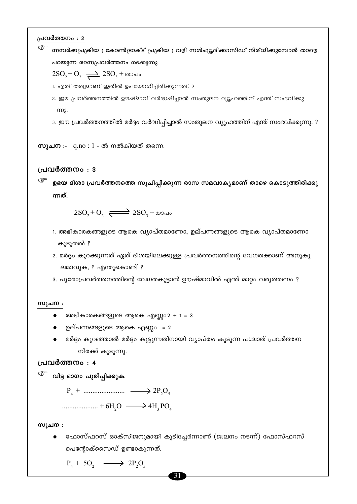$\mathbb{G}$ സമ്പർക്കപ്രക്രിയ ( കോൺട്രാക്ട് പ്രക്രിയ ) വഴി സൾഫ്യൂരിക്കാസിഡ് നിര്മ്മിക്കുമ്പോൾ താഴെ പറയുന്ന രാസപ്രവർത്തനം നടക്കുന്നു.

 $2\text{SO}_2 + \text{O}_2 \rightleftharpoons 2\text{SO}_3 + \text{mod}$ 

1. ഏത് തത്വമാണ് ഇതിൽ ഉപയോഗിച്ചിരിക്കുന്നത്. ?

2. ഈ പ്രവർത്തനത്തിൽ ഊഷ്മാവ് വർദ്ധഷിച്ചാൽ സംതുലന വ്യൂഹത്തിന് എന്ത് സംഭവിക്കു m2.

3. ഈ പ്രവർത്തനത്തിൽ മർദ്ദം വർദ്ധിപ്പിച്ചാൽ സംതുലന വ്യൂഹത്തിന് എന്ത് സംഭവിക്കുന്നു. ?

സൂചന $: q.no : 1 - \omega$  നൽകിയത് തന്നെ.

### പ്രവർത്തനം : 3

ഉഭയ ദിശാ പ്രവർത്തനത്തെ സൂചിപ്പിക്കുന്ന രാസ സമവാക്യമാണ് താഴെ കൊടുത്തിരിക്കു ന്നത്.

 $2SO_1 + O_2$   $\longrightarrow$   $2SO_3 + \omega$ 

- 1. അഭികാരകങ്ങളുടെ ആകെ വ്യാപ്തമാണോ, ഉല്പന്നങ്ങളുടെ ആകെ വ്യാപ്തമാണോ കൂടുതൽ ?
- 2. മർദ്ദം കുറക്കുന്നത് ഏത് ദിശയിലേക്കുള്ള പ്രവർത്തനത്തിന്റെ വേഗതക്കാണ് അനുകൂ ലമാവുക, ? എന്തുകൊണ്ട് ?
- 3. പുരോപ്രവർത്തനത്തിന്റെ വേഗതകൂട്ടാൻ ഊഷ്മാവിൽ എന്ത് മാറ്റം വരുത്തണം ?

#### സൂചന :

- അഭികാരകങ്ങളുടെ ആകെ എണ്ണം $2 + 1 = 3$
- ഉല്പന്നങ്ങളുടെ ആകെ എണ്ണം = 2
- മർദ്ദം കുറഞ്ഞാൽ മർദ്ദം കൂട്ടുന്നതിനായി വ്യാപ്തം കൂടുന്ന പശ്ചാത് പ്രവർത്തന നിരക്ക് കൂടുന്നു.

### പ്രവർത്തനം : 4

<sup>്ള്</sup> വിട്ട ഭാഗം പൂരിപ്പിക്കുക.

 $P_4 + \dots + P_5$  $\ldots$  + 6H<sub>2</sub>O  $\longrightarrow$  4H<sub>3</sub>PO<sub>4</sub>

സുചന :

ഫോസ്ഫറസ് ഓക്സിജനുമായി കൂടിച്ചേർന്നാണ് (ജ്വലനം നടന്ന്) ഫോസ്ഫറസ് പെന്റോക്സൈഡ് ഉണ്ടാകുന്നത്.

 $P_4 + 5O_2 \longrightarrow 2P_2O_5$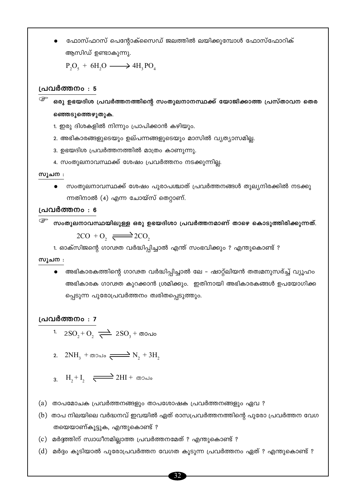ഫോസ്ഫറസ് പെന്റോക്സൈഡ് ജലത്തിൽ ലയിക്കുമ്പോൾ ഫോസ്ഫോറിക് ആസിഡ് ഉണ്ടാകുന്നു.

 $P_2O_5 + 6H_2O \longrightarrow 4H_1PO_4$ 

### പ്രവർത്തനം : 5

ഒരു ഉഭയദിശ പ്രവർത്തനത്തിന്റെ സംതുലനാനസ്ഥക്ക് യോജിക്കാത്ത പ്രസ്താവന തെര ഞ്ഞെടുത്തെഴുതുക.

1. ഇരു ദിശകളിൽ നിന്നും പ്രാപിക്കാൻ കഴിയും.

- 2. അഭികാരങ്ങളുടെയും ഉല്പന്നങ്ങളുടെയും മാസിൽ വ്യത്യാസമില്ല.
- 3. ഉഭയദിശ പ്രവർത്തനത്തിൽ മാത്രം കാണുന്നു.
- 4. സംതുലനാവസ്ഥക്ക് ശേഷം പ്രവർത്തനം നടക്കുന്നില്ല.

### സൂചന :

സംതുലനാവസ്ഥക്ക് ശേഷം പുരാപശ്ചാത് പ്രവർത്തനങ്ങൾ തുല്യനിരക്കിൽ നടക്കു ന്നതിനാൽ (4) എന്ന ചോയ്സ് തെറ്റാണ്.

### പ്രവർത്തനം : 6

സംതുലനാവസ്ഥയിലുള്ള ഒരു ഉഭയദിശാ പ്രവർത്തനമാണ് താഴെ കൊടുത്തിരിക്കുന്നത്.  $2CO + O_2 \rightleftharpoons 2CO$ 

1. ഓക്സിജന്റെ ഗാഢത വർദ്ധിപ്പിച്ചാൽ എന്ത് സംഭവിക്കും ? എന്തുകൊണ്ട് ?

### സുചന :

അഭികാരകത്തിന്റെ ഗാഢത വർദ്ധിപ്പിച്ചാൽ ലേ – ഷാറ്റ്ലിയൻ തത്വമനുസര്ച്ച് വ്യൂഹം അഭികാരക ഗാഢത കുറക്കാൻ ശ്രമിക്കും. ഇതിനായി അഭികാരകങ്ങൾ ഉപയോഗിക്ക പ്പെടുന്ന പുരോപ്രവർത്തനം ത്വരിതപ്പെടുത്തും.

### പ്രവർത്തനം : 7

- 1.  $2\text{SO}_{2} + \text{O}_{2} \rightleftharpoons 2\text{SO}_{3} + \text{mod}$
- 2.  $2NH_3$  +  $\omega_{\text{2d}}$  =  $\rightarrow N_2$  +  $3H_2$
- 3.  $H_2 + I_2$   $\rightleftharpoons$  2HI +  $\omega$ Dalo
- (a) താപമോചക പ്രവർത്തനങ്ങളും താപശോഷക പ്രവർത്തനങ്ങളും ഏവ ?
- (b) താപ നിലയിലെ വർദ്ധനവ് ഇവയിൽ ഏത് രാസപ്രവർത്തനത്തിന്റെ പുരോ പ്രവർത്തന വേഗ തയെയാണ്കൂട്ടുക, എന്തുകൊണ്ട് ?
- (c) മർദ്ദത്തിന് സ്വാധീനമില്ലാത്ത പ്രവർത്തനമേത് ? എന്തുകൊണ്ട് ?
- (d) മർദ്ദം കൂടിയാൽ പുരോപ്രവർത്തന വേഗത കൂടുന്ന പ്രവർത്തനം ഏത് ? എന്തുകൊണ്ട് ?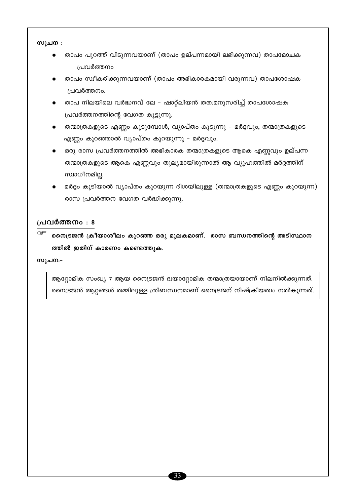സുചന :

- താപം പുറത്ത് വിടുന്നവയാണ് (താപം ഉല്പന്നമായി ലഭിക്കുന്നവ) താപമോചക പ്രവർത്തനം
- താപം സ്വീകരിക്കുന്നവയാണ് (താപം അഭികാരകമായി വരുന്നവ) താപശോഷക പ്രവർത്തനം.
- താപ നിലയിലെ വർദ്ധനവ് ലേ ഷാറ്റ്ലിയൻ തത്വമനുസരിച്ച് താപശോഷക പ്രവർത്തനത്തിന്റെ വേഗത കൂട്ടുന്നു.
- തന്മാത്രകളുടെ എണ്ണം കൂടുമ്പോൾ, വ്യാപ്തം കൂടുന്നു മർദ്ദവും, തന്മാത്രകളുടെ എണ്ണം കുറഞ്ഞാൽ വ്യാപ്തം കുറയുന്നു – മർദ്ദവും.
- $\bullet$  ഒരു രാസ പ്രവർത്തനത്തിൽ അഭികാരക തന്മാത്രകളുടെ ആകെ എണ്ണവും ഉല്പന്ന തന്മാത്രകളുടെ ആകെ എണ്ണവും തുല്യമായിരുന്നാൽ ആ വ്യൂഹത്തിൽ മർദ്ദത്തിന് സ്വാധീനമില്ല.
- മർദ്ദം കൂടിയാൽ വ്യാപ്തം കുറയുന്ന ദിശയിലുള്ള (തന്മാത്രകളുടെ എണ്ണം കുറയുന്ന) രാസ പ്രവർത്തന വേഗത വർദ്ധിക്കുന്നു.

### പ്രവർത്തനം : 8

☞ നൈട്രജൻ ക്രീയാശീലം കുറഞ്ഞ ഒരു മുലകമാണ്. രാസ ബന്ധനത്തിന്റെ അടിസ്ഥാന ത്തിൽ ഇതിന് കാരണം കണ്ടെത്തുക.

സുചന:⊣

ആറ്റോമിക സംഖ്യ 7 ആയ നൈട്രജൻ ദ്വയാറ്റോമിക തന്മാത്രയായാണ് നിലനിൽക്കുന്നത്. നൈട്രജൻ ആറ്റങ്ങൾ തമ്മിലുള്ള ത്രിബന്ധനമാണ് നൈട്രജന് നിഷ്ക്രിയത്വം നൽകുന്നത്.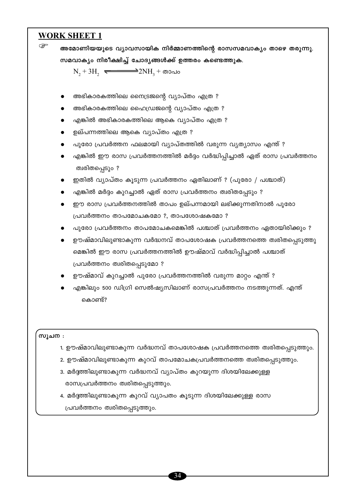# **WORK SHEET 1**

| ١      | അമോണിയയുടെ വ്യാവസായിക നിർമ്മാണത്തിന്റെ രാസസമവാക്യം താഴെ തരുന്നു.                |
|--------|---------------------------------------------------------------------------------|
|        | സമവാക്യം നിരീക്ഷിച്ച് ചോദ്യങ്ങൾക്ക് ഉത്തരം കണ്ടെത്തുക.                          |
|        | $N_2 + 3H_2$ $\longrightarrow 2NH_3 + \omega$                                   |
|        |                                                                                 |
|        | അഭികാരകത്തിലെ നൈട്രജന്റെ വ്യാപ്തം എത്ര ?<br>$\bullet$                           |
|        | അഭികാരകത്തിലെ ഹൈഡ്രജന്റെ വ്യാപ്തം എത്ര ?<br>$\bullet$                           |
|        | എങ്കിൽ അഭികാരകത്തിലെ ആകെ വ്യാപ്തം എത്ര ?<br>$\bullet$                           |
|        | ഉല്പന്നത്തിലെ ആകെ വ്യാപ്തം എത്ര ?<br>$\bullet$                                  |
|        | പുരോ പ്രവർത്തന ഫലമായി വ്യാപ്തത്തിൽ വരുന്ന വ്യത്യാസം എന്ത് ?<br>$\bullet$        |
|        | എങ്കിൽ ഈ രാസ പ്രവർത്തനത്തിൽ മർദ്ദം വർദ്ധിപ്പിച്ചാൽ ഏത് രാസ പ്രവർത്തനം           |
|        | ത്വരിതപ്പെടും ?                                                                 |
|        | ഇതിൽ വ്യാപ്തം കൂടുന്ന പ്രവർത്തനം ഏതിലാണ് ? (പുരോ / പശ്ചാത്)                     |
|        | എങ്കിൽ മർദ്ദം കുറച്ചാൽ ഏത് രാസ പ്രവർത്തനം ത്വരിതപ്പേടും ?                       |
|        | ഈ രാസ പ്രവർത്തനത്തിൽ താപം ഉല്പന്നമായി ലഭിക്കുന്നതിനാൽ പുരോ                      |
|        | പ്രവർത്തനം താപമോചകമോ ?, താപശോഷകമോ ?                                             |
|        | പുരോ പ്രവർത്തനം താപമോചകമെങ്കിൽ പശ്ചാത് പ്രവർത്തനം ഏതായിരിക്കും ?                |
|        | ഊഷ്മാവിലുണ്ടാകുന്ന വർദ്ധനവ് താപശോഷക പ്രവർത്തനത്തെ ത്വരിതപ്പെടുത്തു<br>$\bullet$ |
|        | മെങ്കിൽ ഈ രാസ പ്രവർത്തനത്തിൽ ഊഷ്മാവ് വർദ്ധിപ്പിച്ചാൽ പശ്ചാത്                    |
|        | പ്രവർത്തനം ത്വരിതപ്പെടുമോ ?                                                     |
|        | ഊഷ്മാവ് കുറച്ചാൽ പുരോ പ്രവർത്തനത്തിൽ വരുന്ന മാറ്റം എന്ത് ?                      |
|        | എങ്കിലും 500 ഡിഗ്രി സെൽഷ്യസിലാണ് രാസപ്രവർത്തനം നടത്തുന്നത്. എന്ത്               |
|        | കൊണ്ട്?                                                                         |
|        |                                                                                 |
|        |                                                                                 |
| സൂചന : |                                                                                 |
|        | 1. ഊഷ്മാവിലുണ്ടാകുന്ന വർദ്ധനവ് താപശോഷക പ്രവർത്തനത്തെ ത്വരിതപ്പെടുത്തും.         |
|        | 2. ഊഷ്മാവിലുണ്ടാകുന്ന കുറവ് താപമോചകപ്രവർത്തനത്തെ ത്വരിതപ്പെടുത്തും.             |
|        | 3. മർദ്ദത്തിലുണ്ടാകുന്ന വർദ്ധനവ് വ്യാപ്തം കുറയുന്ന ദിശയിലേക്കുള്ള               |
|        | രാസപ്രവർത്തനം ത്വരിതപ്പെടുത്തും.                                                |

4. മർദ്ദത്തിലുണ്ടാകുന്ന കുറവ് വ്യാപതം കൂടുന്ന ദിശയിലേക്കുള്ള രാസ പ്രവർത്തനം ത്വരിതപ്പെടുത്തും.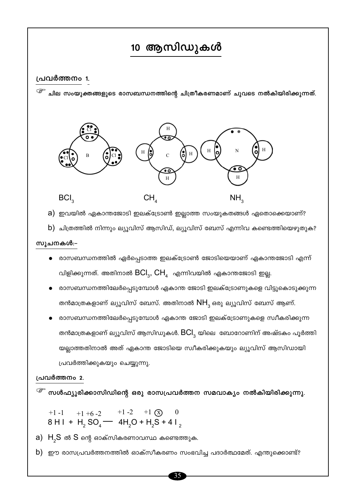# 10 ആസിഡുകൾ

### പ്രവർത്തനം 1.

 $\left< \widehat{\varepsilon}^x \right>$  ചില സംയുക്തങ്ങളുടെ രാസബന്ധനത്തിന്റെ ചിത്രീകരണമാണ് ചുവടെ നൽകിയിരിക്കുന്നത്.



a) ഇവയിൽ ഏകാന്തജോടി ഇലക്ട്രോൺ ഇല്ലാത്ത സംയുകതങ്ങൾ ഏതൊക്കെയാണ്?

b) ചിത്രത്തിൽ നിന്നും ല്യൂവിസ് ആസിഡ്, ല്യൂവിസ് ബേസ് എന്നിവ കണ്ടെത്തിയെഴുതുക?

### സൂചനകൾ:-

- രാസബന്ധനത്തിൽ ഏർപ്പെടാത്ത ഇലക്ട്രോൺ ജോടിയെയാണ് ഏകാന്തജോടി എന്ന് വിളിക്കുന്നത്. അതിനാൽ  $\mathsf{BCl}_3$ ,  $\mathsf{CH}_4$  എന്നിവയിൽ ഏകാന്തജോടി ഇല്ല.
- രാസബന്ധനത്തിലേർപ്പെടുമ്പോൾ ഏകാന്ത ജോടി ഇലക്ട്രോണുകളെ വിട്ടുകൊടുക്കുന്ന തൻമാത്രകളാണ് ല്യൂവിസ് ബേസ്. അതിനാൽ  $NH_{3}$ ഒരു ല്യൂവിസ് ബേസ് ആണ്.
- രാസബന്ധനത്തിലേർപ്പെടുമ്പോൾ ഏകാന്ത ജോടി ഇലക്ട്രോണുകളെ സ്വീകരിക്കുന്ന തൻമാത്രകളാണ് ല്യൂവിസ് ആസിഡുകൾ.  $\mathsf{BCI}_3$  യിലെ ബോറോണിന് അഷ്ടകം പൂർത്തി യല്ലാത്തതിനാൽ അത് ഏകാന്ത ജോടിയെ സ്വീകരിക്കുകയും ല്യൂവിസ് ആസിഡായി പ്രവർത്തിക്കുകയും ചെയ്യുന്നു.

### പ്രവർത്തനം 2.

 $\widehat{\mathscr{E}}$  സൾഫ്യൂരിക്കാസിഡിന്റെ ഒരു രാസപ്രവർത്തന സമവാക്യം നൽകിയിരിക്കുന്നു.

+1 -1 +1 +6 -2 +1 -2 +1  $\circ$  0<br>8 H I + H<sub>2</sub> SO<sub>4</sub> - 4H<sub>2</sub>O + H<sub>2</sub>S + 4 I<sub>2</sub>

 $a)$  H<sub>2</sub>S ൽ S ന്റെ ഓക്സികരണാവസ്ഥ കണ്ടെത്തുക.

 $b)$  ഈ രാസപ്രവർത്തനത്തിൽ ഓക്സീകരണം സംഭവിച്ച പദാർത്ഥമേത്. എന്തുക്കൊണ്ട്?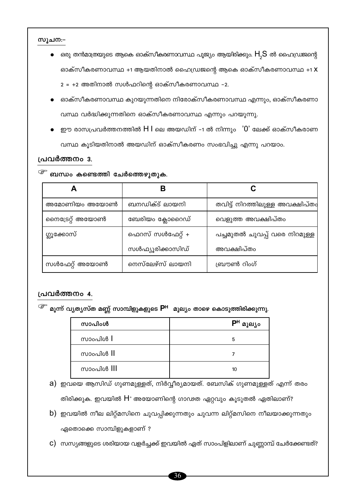### സൂചന:−

 $\bullet$  ഒരു തൻമാത്രയുടെ ആകെ ഓക്സീകരണാവസ്ഥ പൂജ്യം ആയിരിക്കും.  $\mathsf{H}_{_{\mathcal{I}}} \mathsf{S}$  ൽ ഹൈഡ്രജന്റെ ഓക്സീകരണാവസ്ഥ +1 ആയതിനാൽ ഹൈഡ്രജന്റെ ആകെ ഓക്സീകരണാവസ്ഥ +1 X

2 = +2 അതിനാൽ സൾഫറിന്റെ ഓക്സീകരണാവസ്ഥ -2.

- ഓക്സീകരണാവസ്ഥ കുറയുന്നതിനെ നിരോക്സീകരണാവസ്ഥ എന്നും, ഓക്സീകരണാ വസ്ഥ വർദ്ധിക്കുന്നതിനെ ഓക്സീകരണാവസ്ഥ എന്നും പറയുന്നു.
- ഈ രാസപ്രവർത്തനത്തിൽ  $H$  l ലെ അയഡിന് -1 ൽ നിന്നും  $\,$  '0' ലേക്ക് ഓക്സീകരാണ വസ്ഥ കൂടിയതിനാൽ അയഡിന് ഓക്സീകരണം സംഭവിച്ചു എന്നു പറയാം.

### പ്രവർത്തനം 3.

### $\widehat{\mathscr{E}}$  ബന്ധം കണ്ടെത്തി ചേർത്തെഴുതുക.

| അമോണിയം അയോൺ    | ബനഡിക്ട് ലായനി   | തവിട്ട് നിറത്തിലുള്ള അവക്ഷിപ്തം |  |
|-----------------|------------------|---------------------------------|--|
| നൈട്രേറ്റ് അയോൺ | ബേരിയം ക്ലോറൈഡ്  | വെളുത്ത അവക്ഷിപ്തം              |  |
| ഗ്ലൂക്കോസ്      | ഫെറസ് സൾഫേറ്റ് + | പച്ചമുതൽ ചുവപ്പ് വരെ നിറമുള്ള   |  |
|                 | സൾഫ്യൂരിക്കാസിഡ് | അവക്ഷിപ്തം                      |  |
| സൾഫേറ്റ് അയോൺ   | നെസ്ലേഴ്സ് ലായനി | ബ്രൗൺ റിംഗ്                     |  |

### പ്രവർത്തനം 4.

<sup>്ളా</sup> മൂന്ന് വ്യത്യസ്ത മണ്ണ് സാമ്പിളുകളുടെ P<sup>H</sup> മൂല്യം താഴെ കൊടുത്തിരിക്കുന്നു.

| സാപിംൾ              | DH<br>മൂല്യം |
|---------------------|--------------|
| സാംപിൾ $\mathsf{l}$ | 5            |
| സാംപിൾ II           |              |
| സാംപിൾ III          | 10           |

- a) ഇവയെ ആസിഡ് ഗുണമുള്ളത്, നിർവ്വീര്യമായത്. ബേസിക് ഗുണമുള്ളത് എന്ന് തരം തിരിക്കുക. ഇവയിൽ H<sup>+</sup> അയോണിന്റെ ഗാഢത ഏറ്റവും കൂടുതൽ ഏതിലാണ്?
- b) ഇവയിൽ നീല ലിറ്റ്മസിനെ ചുവപ്പിക്കുന്നതും ചുവന്ന ലിറ്റ്മസിനെ നീലയാക്കുന്നതും ഏതൊക്കെ സാമ്പിളുകളാണ് ?
- $\mathbf C$ ) സസ്യങ്ങളുടെ ശരിയായ വളർച്ചക്ക് ഇവയിൽ ഏത് സാംപിളിലാണ് ചുണ്ണാമ്പ് ചേർക്കേണ്ടത്?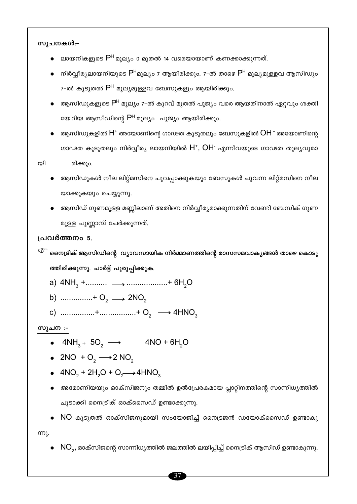### സൂചനകൾ:-

- ലായനികളുടെ P<sup>H</sup> മുല്യം 0 മുതൽ 14 വരെയായാണ് കണക്കാക്കുന്നത്.
- നിർവ്വീര്യലായനിയുടെ P<sup>H</sup>മൂല്യം 7 ആയിരിക്കും. 7-ൽ താഴെ P<sup>H</sup> മൂല്യമുള്ളവ ആസിഡും 7-ൽ കൂടുതൽ P<sup>H</sup> മൂല്യമുള്ളവ ബേസുകളും ആയിരിക്കും.
- ആസിഡുകളുടെ P<sup>H</sup> മൂല്യം 7-ൽ കുറവ് മുതൽ പൂജ്യം വരെ ആയതിനാൽ ഏറ്റവും ശക്തി യേറിയ ആസിഡിന്റെ P<sup>H</sup> മൂല്യം പൂജ്യം ആയിരിക്കും.
- ആസിഡുകളിൽ  $\mathsf{H}^*$  അയോണിന്റെ ഗാഢത കൂടുതലും ബേസുകളിൽ  $\mathsf{OH}^{\text{-}}$  അയോണിന്റെ ഗാഢത കൂടുതലും നിർവ്വീര്യ ലായനിയിൽ  $H^*$ , OH<sup>-</sup> എന്നിവയുടെ ഗാഢത തുല്യവുമാ

യി

- ആസിഡുകൾ നീല ലിറ്റ്മസിനെ ചുവപ്പാക്കുകയും ബേസുകൾ ചുവന്ന ലിറ്റ്മസിനെ നീല യാക്കുകയും ചെയ്യുന്നു.
- ആസിഡ് ഗുണമുള്ള മണ്ണിലാണ് അതിനെ നിർവ്വീര്യമാക്കുന്നതിന് വേണ്ടി ബേസിക് ഗുണ മുള്ള ചുണ്ണാമ്പ് ചേർക്കുന്നത്.

### പ്രവർത്തനം 5.

രിക്കും.

- <sup>്ട്ട്</sup> നൈട്രിക് ആസിഡിന്റെ വ്യാവസായിക നിർമ്മാണത്തിന്റെ രാസസമവാക്യങ്ങൾ താഴെ കൊടു ത്തിരിക്കുന്നു. ചാർട്ട് പൂരുപ്പിക്കുക.
	- a)  $4NH_3 + \dots + \dots + 6H_2O$
	- b) ...............+  $O_2 \longrightarrow 2NO_2$
	- c) .................+................+  $O_2 \longrightarrow 4HNO_3$

### **സൂചന** :-

- $4NH_3 + 5O_2 \longrightarrow 4NO + 6H_2O$
- 2NO +  $O_2 \longrightarrow 2$  NO<sub>2</sub>
- $4NO_2 + 2H_2O + O_2 \rightarrow 4HNO_3$
- അമോണിയയും ഓക്സിജനും തമ്മിൽ ഉൽപ്രേരകമായ പ്ലാറ്റിനത്തിന്റെ സാന്നിധ്യത്തിൽ ചൂടാക്കി നൈട്രിക് ഓക്സൈഡ് ഉണ്ടാക്കുന്നു.
- $NO$  കൂടുതൽ ഓക്സിജനുമായി സംയോജിച്ച് നൈട്രജൻ ഡയോക്സൈഡ് ഉണ്ടാകു

ന്നു.

 $\bullet \;\; \textsf{NO}_2$ , ഓക്സിജന്റെ സാന്നിധ്യത്തിൽ ജലത്തിൽ ലയിപ്പിച്ച് നൈട്രിക് ആസിഡ് ഉണ്ടാകുന്നു.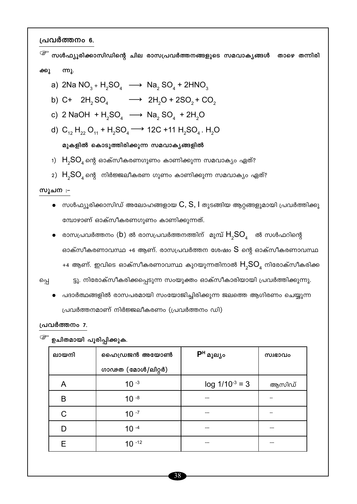പ്രവർത്തനം 6.

<sup>്ള്ச</sup> സൾഫ്യൂരിക്കാസിഡിന്റെ ചില രാസപ്രവർത്തനങ്ങളുടെ സമവാകൃങ്ങൾ താഴെ തന്നിരി ന്നു. ക്കു a) 2Na NO<sub>3</sub> + H<sub>2</sub>SO<sub>4</sub>  $\longrightarrow$  Na<sub>2</sub> SO<sub>4</sub> + 2HNO<sub>3</sub> b) C+ 2H<sub>2</sub>SO<sub>4</sub>  $\longrightarrow$  2H<sub>2</sub>O + 2SO<sub>2</sub> + CO<sub>2</sub>

- c) 2 NaOH +  $H_2SO_4$   $\longrightarrow$  Na<sub>2</sub> SO<sub>4</sub> + 2H<sub>2</sub>O
- d)  $C_{12}H_{22}O_{11} + H_2SO_4 \longrightarrow 12C + 11 H_2SO_4$ . H<sub>2</sub>O

മുകളിൽ കൊടുത്തിരിക്കുന്ന സമവാകൃങ്ങളിൽ

- 1)  $H<sub>2</sub>SO<sub>4</sub>$ ന്റെ ഓക്സീകരണഗുണം കാണിക്കുന്ന സമവാക്യം ഏത്?
- 2)  $H<sub>2</sub>SO<sub>4</sub>$ ന്റെ നിർജ്ജലീകരണ ഗുണം കാണിക്കുന്ന സമവാക്യം ഏത്?

### സൂചന :-

- $\bullet$  സൾഫ്യൂരിക്കാസിഡ് അലോഹങ്ങളായ  $C, S, I$  തുടങ്ങിയ ആറ്റങ്ങളുമായി പ്രവർത്തിക്കു മ്പോഴാണ് ഓക്സീകരണഗുണം കാണിക്കുന്നത്.
- $\bullet$  രാസപ്രവർത്തനം (b) ൽ രാസപ്രവർത്തനത്തിന് മുമ്പ്  $\mathsf{H}_{_{2}}\mathsf{SO}_{_{4}}$  ൽ സൾഫറിന്റെ ഓക്സീകരണാവസ്ഥ +6 ആണ്. രാസപ്രവർത്തന ശേഷം  ${\sf S}$  ന്റെ ഓക്സീകരണാവസ്ഥ +4 ആണ്. ഇവിടെ ഓക്സീകരണാവസ്ഥ കുറയുന്നതിനാൽ  $H_{2}SO_{4}$  നിരോക്സീകരിക്ക
- പ്പെ

ട്ടു. നിരോക്സീകരിക്കപ്പെടുന്ന സംയുക്തം ഓക്സീകാരിയായി പ്രവർത്തിക്കുന്നു.

പദാർത്ഥങ്ങളിൽ രാസപരമായി സംയോജിച്ചിരിക്കുന്ന ജലത്തെ ആഗിരണം ചെയ്യുന്ന പ്രവർത്തനമാണ് നിർജ്ജലീകരണം (പ്രവർത്തനം ഡി)

### പ്രവർത്തനം 7.

| ലായനി | ഹൈഡ്രജൻ അയോൺ      | $P^H$ മൂല്യം        | സ്വഭാവം |
|-------|-------------------|---------------------|---------|
|       | ഗാഢത (മോൾ/ലിറ്റർ) |                     |         |
| A     | $10^{-3}$         | $log 1/10^{-3} = 3$ | ആസിഡ്   |
| B     | $10^{-8}$         |                     |         |
| C     | $10 - 7$          |                     | --      |
|       | $10^{-4}$         |                     |         |
| F     | $10 - 12$         |                     |         |

<sup>്ള്</sup> ഉചിതമായി പൂരിപ്പിക്കുക.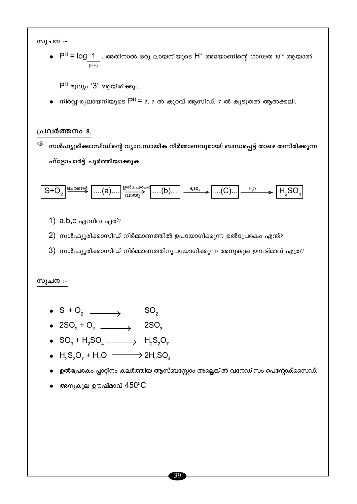സൂചന :-

 $\bullet$  P<sup>H</sup> = log\_1\_ . അതിനാൽ ഒരു ലായനിയുടെ H<sup>+</sup> അയോണിന്റെ ഗാഢത 10<sup>-3</sup> ആയാൽ

 $P<sup>H</sup>$  മുല്യം ' $3'$  ആയിരിക്കും.

നിർവ്വീര്യലായനിയുടെ P<sup>H</sup> = 7, 7 ൽ കുറവ് ആസിഡ്. 7 ൽ കൂടുതൽ ആൽക്കലി.

### പ്രവർത്തനം 8.

<sup>്ട്ട്</sup> സൾഫ്യൂരിക്കാസിഡിന്റെ വ്യാവസായിക നിർമ്മാണവുമായി ബന്ധപ്പെട്ട് താഴെ തന്നിരിക്കുന്ന ഫ്ളോചാർട്ട് പൂർത്തിയാക്കുക.



- 1)  $a,b,c$  എന്നിവ ഏത്?
- $2)$  സൾഫ്യൂരിക്കാസിഡ് നിർമ്മാണത്തിൽ ഉപയോഗിക്കുന്ന ഉൽപ്രേരകം എന്ത്?
- $3)$  സൾഫ്യൂരിക്കാസിഡ് നിർമ്മാണത്തിനുപയോഗിക്കുന്ന അനുകൂല ഊഷ്മാവ് എത്ര?

### സൂചന :-

- $S + O_2$   $\longrightarrow$   $SO_2$
- 
- $SO_3 + H_2SO_4 \longrightarrow H_2S_2O_7$
- $H_2S_2O_7 + H_2O \longrightarrow 2H_2SO_4$
- ഉൽപ്രേരകം പ്ലാറ്റിനം കലർത്തിയ ആസ്ബസ്റ്റോം അല്ലെങ്കിൽ വനേഡിസം പെന്റോക്സൈഡ്.
- $\bullet$  അനുകൂല ഊഷ്മാവ്  $450^{\rm o}{\rm C}$